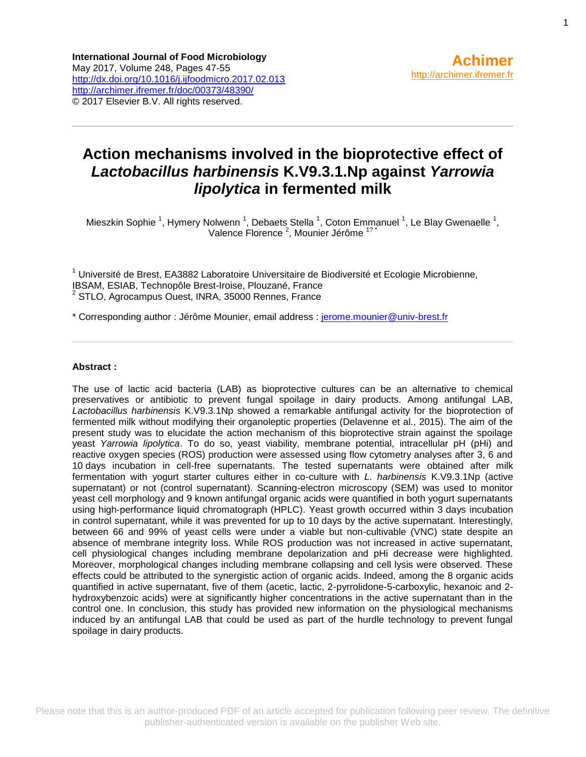## **Action mechanisms involved in the bioprotective effect of**  *Lactobacillus harbinensis* **K.V9.3.1.Np against** *Yarrowia lipolytica* **in fermented milk**

Mieszkin Sophie<sup>1</sup>, Hymery Nolwenn<sup>1</sup>, Debaets Stella<sup>1</sup>, Coton Emmanuel<sup>1</sup>, Le Blay Gwenaelle<sup>1</sup>, Valence Florence<sup>2</sup>, Mounier Jérôme<sup>1?\*</sup>

<sup>1</sup> Université de Brest, EA3882 Laboratoire Universitaire de Biodiversité et Ecologie Microbienne, IBSAM, ESIAB, Technopôle Brest-Iroise, Plouzané, France <sup>2</sup> STLO, Agrocampus Ouest, INRA, 35000 Rennes, France

\* Corresponding author : Jérôme Mounier, email address : [jerome.mounier@univ-brest.fr](mailto:jerome.mounier@univ-brest.fr)

#### **Abstract :**

The use of lactic acid bacteria (LAB) as bioprotective cultures can be an alternative to chemical preservatives or antibiotic to prevent fungal spoilage in dairy products. Among antifungal LAB, *Lactobacillus harbinensis* K.V9.3.1Np showed a remarkable antifungal activity for the bioprotection of fermented milk without modifying their organoleptic properties (Delavenne et al., 2015). The aim of the present study was to elucidate the action mechanism of this bioprotective strain against the spoilage yeast *Yarrowia lipolytica*. To do so, yeast viability, membrane potential, intracellular pH (pHi) and reactive oxygen species (ROS) production were assessed using flow cytometry analyses after 3, 6 and 10 days incubation in cell-free supernatants. The tested supernatants were obtained after milk fermentation with yogurt starter cultures either in co-culture with *L. harbinensis* K.V9.3.1Np (active supernatant) or not (control supernatant). Scanning-electron microscopy (SEM) was used to monitor yeast cell morphology and 9 known antifungal organic acids were quantified in both yogurt supernatants using high-performance liquid chromatograph (HPLC). Yeast growth occurred within 3 days incubation in control supernatant, while it was prevented for up to 10 days by the active supernatant. Interestingly, between 66 and 99% of yeast cells were under a viable but non-cultivable (VNC) state despite an absence of membrane integrity loss. While ROS production was not increased in active supernatant, cell physiological changes including membrane depolarization and pHi decrease were highlighted. Moreover, morphological changes including membrane collapsing and cell lysis were observed. These effects could be attributed to the synergistic action of organic acids. Indeed, among the 8 organic acids quantified in active supernatant, five of them (acetic, lactic, 2-pyrrolidone-5-carboxylic, hexanoic and 2 hydroxybenzoic acids) were at significantly higher concentrations in the active supernatant than in the control one. In conclusion, this study has provided new information on the physiological mechanisms induced by an antifungal LAB that could be used as part of the hurdle technology to prevent fungal spoilage in dairy products.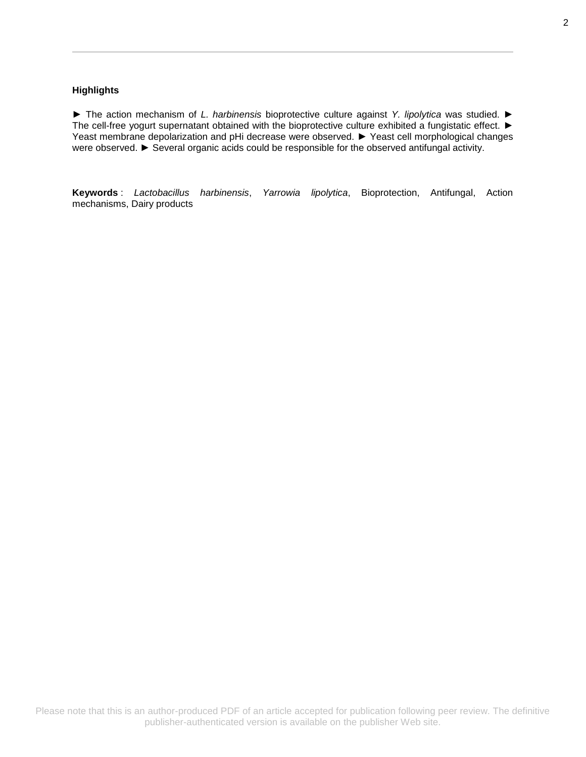#### **Highlights**

► The action mechanism of *L. harbinensis* bioprotective culture against *Y. lipolytica* was studied. ► The cell-free yogurt supernatant obtained with the bioprotective culture exhibited a fungistatic effect. ► Yeast membrane depolarization and pHi decrease were observed. ► Yeast cell morphological changes were observed. ► Several organic acids could be responsible for the observed antifungal activity.

**Keywords** : *Lactobacillus harbinensis*, *Yarrowia lipolytica*, Bioprotection, Antifungal, Action mechanisms, Dairy products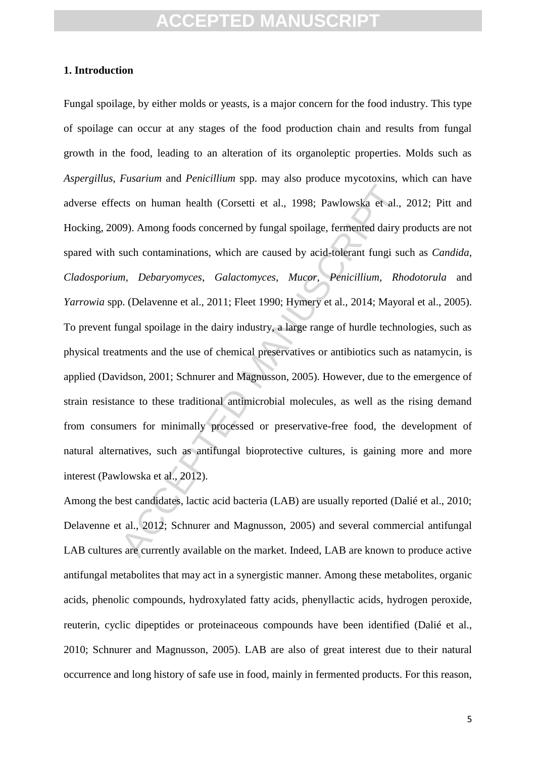### **1. Introduction**

cts on human health (Corsetti et al., 1998; Pawlowska et al., 199.)<br>
2009). Among foods concerned by fungal spoilage, fermented dairy psuch contaminations, which are caused by acid-tolerant fungi sum, *Debaryomyces, Galact* Fungal spoilage, by either molds or yeasts, is a major concern for the food industry. This type of spoilage can occur at any stages of the food production chain and results from fungal growth in the food, leading to an alteration of its organoleptic properties. Molds such as *Aspergillus*, *Fusarium* and *Penicillium* spp. may also produce mycotoxins, which can have adverse effects on human health (Corsetti et al., 1998; Pawlowska et al., 2012; Pitt and Hocking, 2009). Among foods concerned by fungal spoilage, fermented dairy products are not spared with such contaminations, which are caused by acid-tolerant fungi such as *Candida*, *Cladosporium, Debaryomyces*, *Galactomyces, Mucor, Penicillium, Rhodotorula* and *Yarrowia* spp. (Delavenne et al., 2011; Fleet 1990; Hymery et al., 2014; Mayoral et al., 2005). To prevent fungal spoilage in the dairy industry, a large range of hurdle technologies, such as physical treatments and the use of chemical preservatives or antibiotics such as natamycin, is applied (Davidson, 2001; Schnurer and Magnusson, 2005). However, due to the emergence of strain resistance to these traditional antimicrobial molecules, as well as the rising demand from consumers for minimally processed or preservative-free food, the development of natural alternatives, such as antifungal bioprotective cultures, is gaining more and more interest (Pawlowska et al., 2012).

Among the best candidates, lactic acid bacteria (LAB) are usually reported (Dalié et al., 2010; Delavenne et al., 2012; Schnurer and Magnusson, 2005) and several commercial antifungal LAB cultures are currently available on the market. Indeed, LAB are known to produce active antifungal metabolites that may act in a synergistic manner. Among these metabolites, organic acids, phenolic compounds, hydroxylated fatty acids, phenyllactic acids, hydrogen peroxide, reuterin, cyclic dipeptides or proteinaceous compounds have been identified (Dalié et al., 2010; Schnurer and Magnusson, 2005). LAB are also of great interest due to their natural occurrence and long history of safe use in food, mainly in fermented products. For this reason,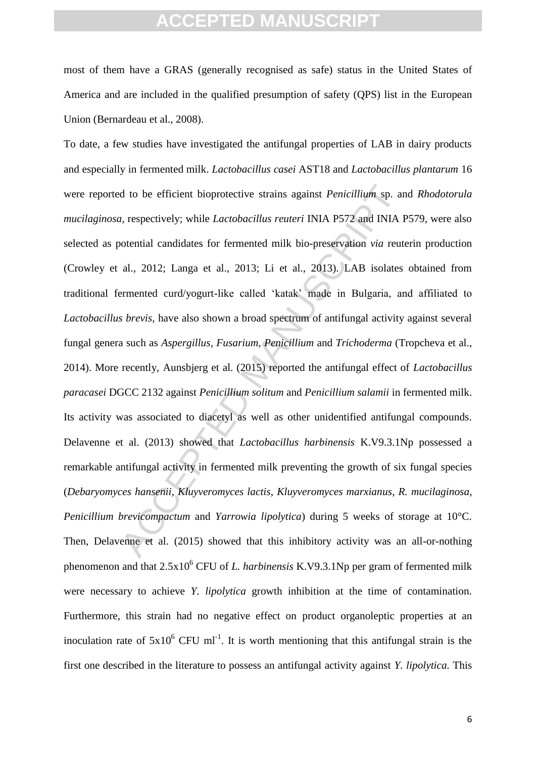most of them have a GRAS (generally recognised as safe) status in the United States of America and are included in the qualified presumption of safety (QPS) list in the European Union (Bernardeau et al., 2008).

d to be efficient bioprotective strains against *Penicillium*, sp. are, respectively; while *Lactobacillus reuteri* INIA P572 and INIA 100tential candidates for fermented milk bio-preservation *via* reut al., 2012; Langa e To date, a few studies have investigated the antifungal properties of LAB in dairy products and especially in fermented milk. *Lactobacillus casei* AST18 and *Lactobacillus plantarum* 16 were reported to be efficient bioprotective strains against *Penicillium* sp. and *Rhodotorula mucilaginosa,* respectively; while *Lactobacillus reuteri* INIA P572 and INIA P579, were also selected as potential candidates for fermented milk bio-preservation *via* reuterin production (Crowley et al., 2012; Langa et al., 2013; Li et al., 2013). LAB isolates obtained from traditional fermented curd/yogurt-like called 'katak' made in Bulgaria, and affiliated to *Lactobacillus brevis*, have also shown a broad spectrum of antifungal activity against several fungal genera such as *Aspergillus, Fusarium, Penicillium* and *Trichoderma* (Tropcheva et al., 2014). More recently, Aunsbjerg et al. (2015) reported the antifungal effect of *Lactobacillus paracasei* DGCC 2132 against *Penicillium solitum* and *Penicillium salamii* in fermented milk. Its activity was associated to diacetyl as well as other unidentified antifungal compounds. Delavenne et al. (2013) showed that *Lactobacillus harbinensis* K.V9.3.1Np possessed a remarkable antifungal activity in fermented milk preventing the growth of six fungal species (*Debaryomyces hansenii*, *Kluyveromyces lactis*, *Kluyveromyces marxianus*, *R. mucilaginosa*, *Penicillium brevicompactum* and *Yarrowia lipolytica*) during 5 weeks of storage at 10°C. Then, Delavenne et al. (2015) showed that this inhibitory activity was an all-or-nothing phenomenon and that 2.5x10<sup>6</sup> CFU of *L. harbinensis* K.V9.3.1Np per gram of fermented milk were necessary to achieve *Y. lipolytica* growth inhibition at the time of contamination*.*  Furthermore, this strain had no negative effect on product organoleptic properties at an inoculation rate of  $5x10^6$  CFU ml<sup>-1</sup>. It is worth mentioning that this antifungal strain is the first one described in the literature to possess an antifungal activity against *Y. lipolytica.* This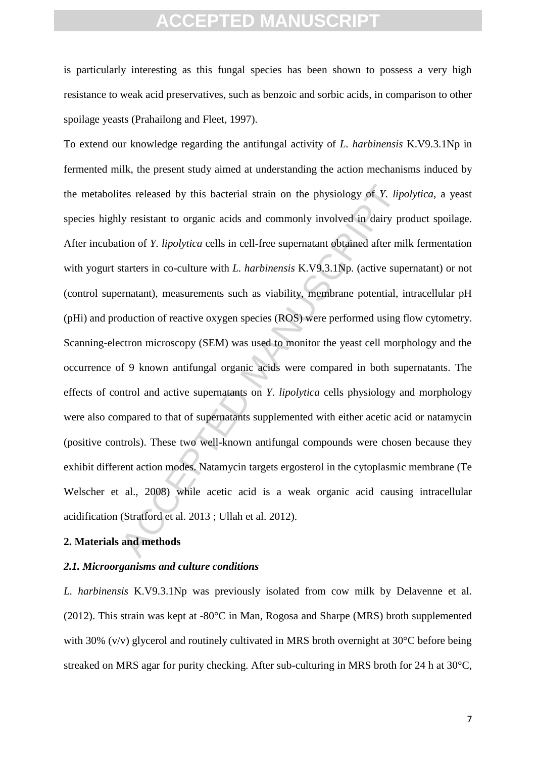is particularly interesting as this fungal species has been shown to possess a very high resistance to weak acid preservatives, such as benzoic and sorbic acids, in comparison to other spoilage yeasts (Prahailong and Fleet, 1997).

tes released by this bacterial strain on the physiology of  $Y$ . lipty resistant to organic acids and commonly involved in dairy profition of  $Y$ . *lipolytica* cells in cell-free supernatant obtained after mitter in the st To extend our knowledge regarding the antifungal activity of *L. harbinensis* K.V9.3.1Np in fermented milk, the present study aimed at understanding the action mechanisms induced by the metabolites released by this bacterial strain on the physiology of *Y. lipolytica*, a yeast species highly resistant to organic acids and commonly involved in dairy product spoilage. After incubation of *Y. lipolytica* cells in cell-free supernatant obtained after milk fermentation with yogurt starters in co-culture with *L. harbinensis* K.V9.3.1Np. (active supernatant) or not (control supernatant), measurements such as viability, membrane potential, intracellular pH (pHi) and production of reactive oxygen species (ROS) were performed using flow cytometry. Scanning-electron microscopy (SEM) was used to monitor the yeast cell morphology and the occurrence of 9 known antifungal organic acids were compared in both supernatants. The effects of control and active supernatants on *Y. lipolytica* cells physiology and morphology were also compared to that of supernatants supplemented with either acetic acid or natamycin (positive controls). These two well-known antifungal compounds were chosen because they exhibit different action modes. Natamycin targets ergosterol in the cytoplasmic membrane (Te Welscher et al., 2008) while acetic acid is a weak organic acid causing intracellular acidification (Stratford et al. 2013 ; Ullah et al. 2012).

## **2. Materials and methods**

### *2.1. Microorganisms and culture conditions*

*L. harbinensis* K.V9.3.1Np was previously isolated from cow milk by Delavenne et al. (2012). This strain was kept at -80°C in Man, Rogosa and Sharpe (MRS) broth supplemented with 30% (v/v) glycerol and routinely cultivated in MRS broth overnight at 30°C before being streaked on MRS agar for purity checking. After sub-culturing in MRS broth for 24 h at 30°C,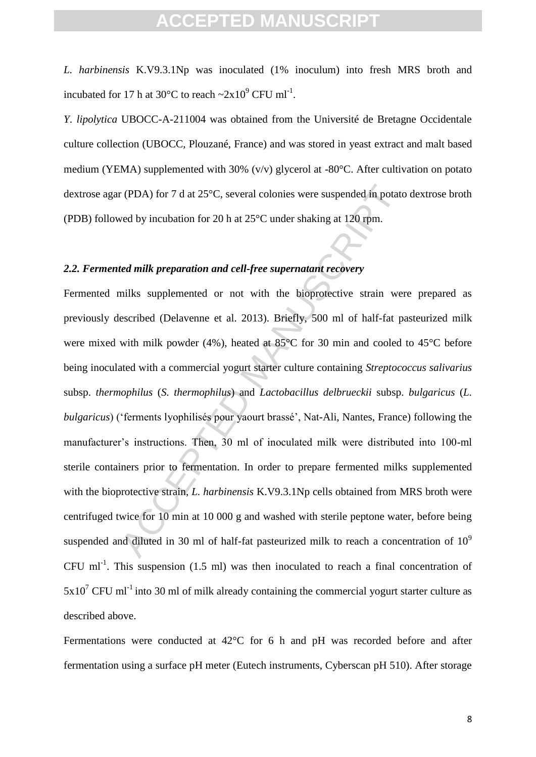*L. harbinensis* K.V9.3.1Np was inoculated (1% inoculum) into fresh MRS broth and incubated for 17 h at 30 $^{\circ}$ C to reach  $\sim$ 2x10 $^{\circ}$  CFU ml<sup>-1</sup>.

*Y. lipolytica* UBOCC-A-211004 was obtained from the Université de Bretagne Occidentale culture collection (UBOCC, Plouzané, France) and was stored in yeast extract and malt based medium (YEMA) supplemented with 30% (v/v) glycerol at -80°C. After cultivation on potato dextrose agar (PDA) for 7 d at 25°C, several colonies were suspended in potato dextrose broth (PDB) followed by incubation for 20 h at 25°C under shaking at 120 rpm.

## *2.2. Fermented milk preparation and cell-free supernatant recovery*

r (PDA) for 7 d at 25°C, several colonies were suspended in potatived by incubation for 20 h at 25°C under shaking at 120 rpm.<br> *Ed milk preparation and cell-free supernatant recovery*<br>
milks supplemented or not with the Fermented milks supplemented or not with the bioprotective strain were prepared as previously described (Delavenne et al. 2013). Briefly, 500 ml of half-fat pasteurized milk were mixed with milk powder (4%), heated at 85°C for 30 min and cooled to 45°C before being inoculated with a commercial yogurt starter culture containing *Streptococcus salivarius* subsp. *thermophilus* (*S. thermophilus*) and *Lactobacillus delbrueckii* subsp. *bulgaricus* (*L. bulgaricus*) ('ferments lyophilisés pour yaourt brassé', Nat-Ali, Nantes, France) following the manufacturer's instructions. Then, 30 ml of inoculated milk were distributed into 100-ml sterile containers prior to fermentation. In order to prepare fermented milks supplemented with the bioprotective strain, *L. harbinensis* K.V9.3.1Np cells obtained from MRS broth were centrifuged twice for 10 min at 10 000 g and washed with sterile peptone water, before being suspended and diluted in 30 ml of half-fat pasteurized milk to reach a concentration of  $10<sup>9</sup>$ CFU ml<sup>-1</sup>. This suspension  $(1.5 \text{ ml})$  was then inoculated to reach a final concentration of  $5x10^7$  CFU ml<sup>-1</sup> into 30 ml of milk already containing the commercial yogurt starter culture as described above.

Fermentations were conducted at 42°C for 6 h and pH was recorded before and after fermentation using a surface pH meter (Eutech instruments, Cyberscan pH 510). After storage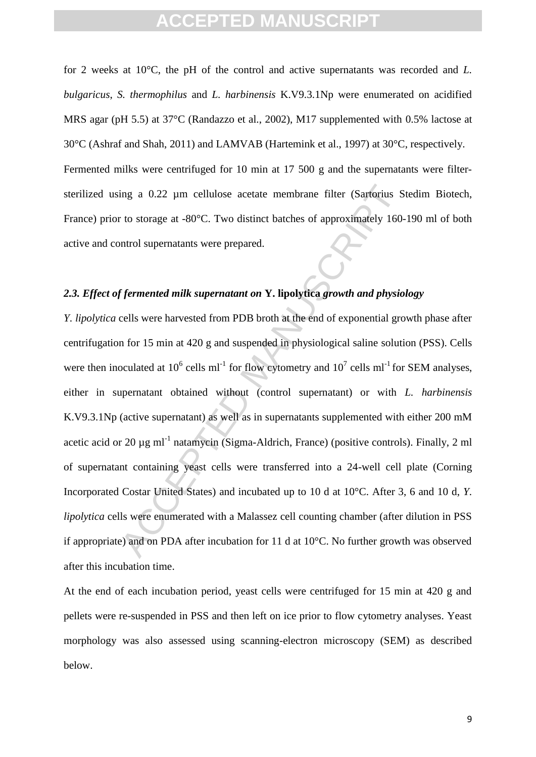for 2 weeks at 10°C, the pH of the control and active supernatants was recorded and *L. bulgaricus*, *S. thermophilus* and *L. harbinensis* K.V9.3.1Np were enumerated on acidified MRS agar (pH 5.5) at 37°C (Randazzo et al., 2002), M17 supplemented with 0.5% lactose at 30°C (Ashraf and Shah, 2011) and LAMVAB (Hartemink et al., 1997) at 30°C, respectively. Fermented milks were centrifuged for 10 min at 17 500 g and the supernatants were filtersterilized using a 0.22 µm cellulose acetate membrane filter (Sartorius Stedim Biotech, France) prior to storage at -80°C. Two distinct batches of approximately 160-190 ml of both active and control supernatants were prepared.

## *2.3. Effect of fermented milk supernatant on* **Y. lipolytica** *growth and physiology*

ing a 0.22  $\mu$ m cellulose acetate membrane filter (Sartorius S<br>r to storage at -80°C. Two distinct batches of approximately 160-<br>ontrol supernatants were prepared.<br>f fermented milk supernatant on **Y**. lipolytica growth a *Y. lipolytica* cells were harvested from PDB broth at the end of exponential growth phase after centrifugation for 15 min at 420 g and suspended in physiological saline solution (PSS). Cells were then inoculated at  $10^6$  cells ml<sup>-1</sup> for flow cytometry and  $10^7$  cells ml<sup>-1</sup> for SEM analyses, either in supernatant obtained without (control supernatant) or with *L. harbinensis* K.V9.3.1Np (active supernatant) as well as in supernatants supplemented with either 200 mM acetic acid or 20  $\mu$ g ml<sup>-1</sup> natamycin (Sigma-Aldrich, France) (positive controls). Finally, 2 ml of supernatant containing yeast cells were transferred into a 24-well cell plate (Corning Incorporated Costar United States) and incubated up to 10 d at 10°C. After 3, 6 and 10 d, *Y. lipolytica* cells were enumerated with a Malassez cell counting chamber (after dilution in PSS if appropriate) and on PDA after incubation for 11 d at 10°C. No further growth was observed after this incubation time.

At the end of each incubation period, yeast cells were centrifuged for 15 min at 420 g and pellets were re-suspended in PSS and then left on ice prior to flow cytometry analyses. Yeast morphology was also assessed using scanning-electron microscopy (SEM) as described below.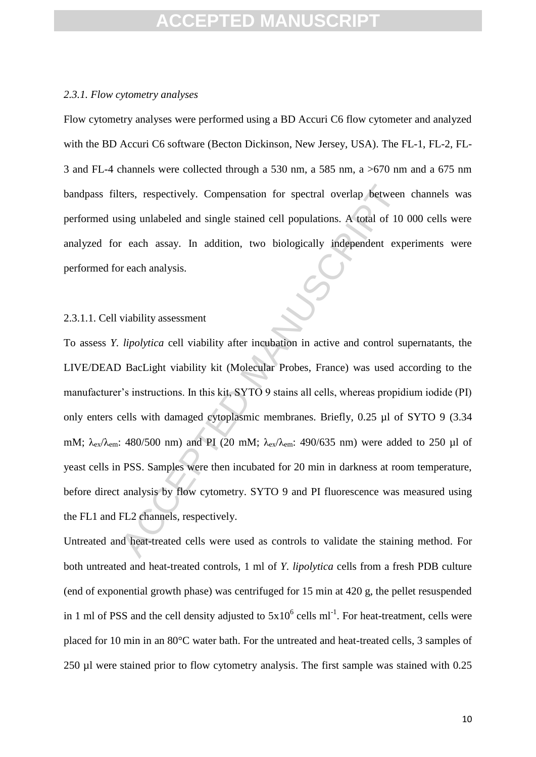### *2.3.1. Flow cytometry analyses*

Flow cytometry analyses were performed using a BD Accuri C6 flow cytometer and analyzed with the BD Accuri C6 software (Becton Dickinson, New Jersey, USA). The FL-1, FL-2, FL-3 and FL-4 channels were collected through a 530 nm, a 585 nm, a >670 nm and a 675 nm bandpass filters, respectively. Compensation for spectral overlap between channels was performed using unlabeled and single stained cell populations. A total of 10 000 cells were analyzed for each assay. In addition, two biologically independent experiments were performed for each analysis.

### 2.3.1.1. Cell viability assessment

ters, respectively. Compensation for spectral overlap between<br>sing unlabeled and single stained cell populations. A total of 10<br>r each assay. In addition, two biologically independent exp<br>reach analysis.<br>viability assessm To assess *Y. lipolytica* cell viability after incubation in active and control supernatants, the LIVE/DEAD BacLight viability kit (Molecular Probes, France) was used according to the manufacturer's instructions. In this kit, SYTO 9 stains all cells, whereas propidium iodide (PI) only enters cells with damaged cytoplasmic membranes. Briefly, 0.25 µl of SYTO 9 (3.34 mM;  $\lambda_{ex}/\lambda_{em}$ : 480/500 nm) and PI (20 mM;  $\lambda_{ex}/\lambda_{em}$ : 490/635 nm) were added to 250 µl of yeast cells in PSS. Samples were then incubated for 20 min in darkness at room temperature, before direct analysis by flow cytometry. SYTO 9 and PI fluorescence was measured using the FL1 and FL2 channels, respectively.

Untreated and heat-treated cells were used as controls to validate the staining method. For both untreated and heat-treated controls, 1 ml of *Y. lipolytica* cells from a fresh PDB culture (end of exponential growth phase) was centrifuged for 15 min at 420 g, the pellet resuspended in 1 ml of PSS and the cell density adjusted to  $5x10^6$  cells ml<sup>-1</sup>. For heat-treatment, cells were placed for 10 min in an 80°C water bath. For the untreated and heat-treated cells, 3 samples of 250 µl were stained prior to flow cytometry analysis. The first sample was stained with 0.25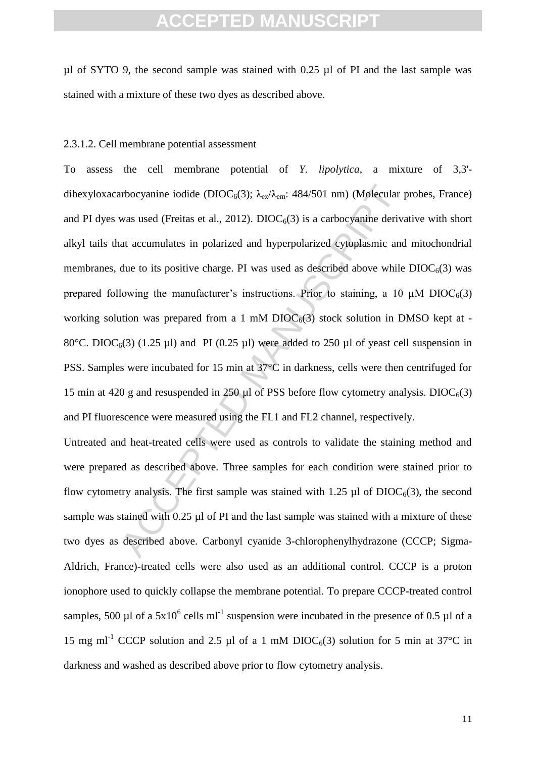$\mu$ l of SYTO 9, the second sample was stained with 0.25  $\mu$ l of PI and the last sample was stained with a mixture of these two dyes as described above.

### 2.3.1.2. Cell membrane potential assessment

arbocyanine iodide (DIOC<sub>6</sub>(3);  $\lambda_{\rm ex}/\lambda_{\rm em}$ : 484/501 nm) (Mølecular jumas used (Freitas et al., 2012). DIOC<sub>6</sub>(3) is a carbocyanine derivative at accumulates in polarized and hyperpolarized cytoplasmic and due to its To assess the cell membrane potential of *Y. lipolytica*, a mixture of 3,3' dihexyloxacarbocyanine iodide (DIOC<sub>6</sub>(3);  $\lambda_{\rm ev}/\lambda_{\rm em}$ : 484/501 nm) (Molecular probes, France) and PI dyes was used (Freitas et al., 2012). DIOC $_6(3)$  is a carbocyanine derivative with short alkyl tails that accumulates in polarized and hyperpolarized cytoplasmic and mitochondrial membranes, due to its positive charge. PI was used as described above while  $DIOC<sub>6</sub>(3)$  was prepared following the manufacturer's instructions. Prior to staining, a 10  $\mu$ M DIOC<sub>6</sub>(3) working solution was prepared from a 1 mM  $DIOC<sub>6</sub>(3)$  stock solution in DMSO kept at -80°C. DIOC<sub>6</sub>(3) (1.25 µl) and PI (0.25 µl) were added to 250 µl of yeast cell suspension in PSS. Samples were incubated for 15 min at 37°C in darkness, cells were then centrifuged for 15 min at 420 g and resuspended in 250  $\mu$ l of PSS before flow cytometry analysis. DIOC $_6(3)$ and PI fluorescence were measured using the FL1 and FL2 channel, respectively.

Untreated and heat-treated cells were used as controls to validate the staining method and were prepared as described above. Three samples for each condition were stained prior to flow cytometry analysis. The first sample was stained with 1.25  $\mu$ l of DIOC<sub>6</sub>(3), the second sample was stained with 0.25 µl of PI and the last sample was stained with a mixture of these two dyes as described above. Carbonyl cyanide 3-chlorophenylhydrazone (CCCP; Sigma-Aldrich, France)-treated cells were also used as an additional control. CCCP is a proton ionophore used to quickly collapse the membrane potential. To prepare CCCP-treated control samples, 500 µl of a  $5x10^6$  cells ml<sup>-1</sup> suspension were incubated in the presence of 0.5 µl of a 15 mg ml<sup>-1</sup> CCCP solution and 2.5 µl of a 1 mM DIOC<sub>6</sub>(3) solution for 5 min at 37<sup>o</sup>C in darkness and washed as described above prior to flow cytometry analysis.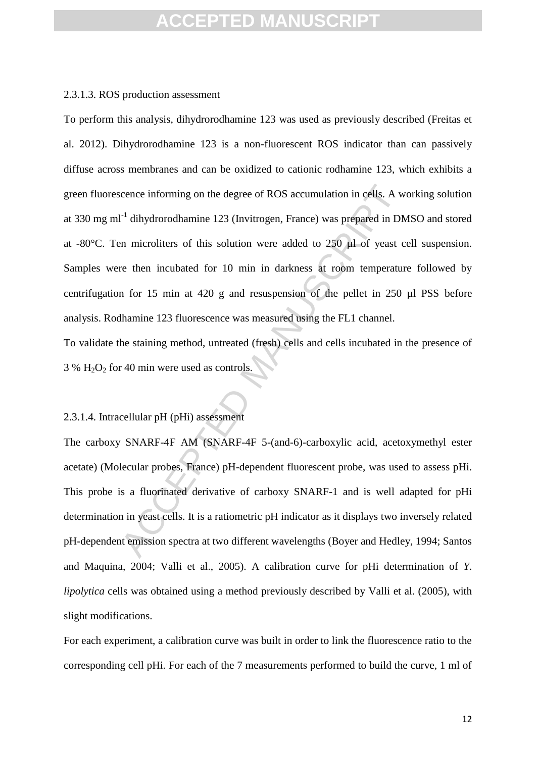### 2.3.1.3. ROS production assessment

icence informing on the degree of ROS accumulation in cells. A was repared in DN<br>
1<sup>-1</sup> dihydrorodhamine 123 (Invitrogen, France) was prepared in DN<br>
2<sup>-1</sup> dihydrorodhamine 123 (Invitrogen, France) was prepared in DN<br>
2-1<sup></sup> To perform this analysis, dihydrorodhamine 123 was used as previously described (Freitas et al. 2012). Dihydrorodhamine 123 is a non-fluorescent ROS indicator than can passively diffuse across membranes and can be oxidized to cationic rodhamine 123, which exhibits a green fluorescence informing on the degree of ROS accumulation in cells. A working solution at 330 mg ml<sup>-1</sup> dihydrorodhamine 123 (Invitrogen, France) was prepared in DMSO and stored at -80 $^{\circ}$ C. Ten microliters of this solution were added to 250  $\mu$ l of yeast cell suspension. Samples were then incubated for 10 min in darkness at room temperature followed by centrifugation for 15 min at 420 g and resuspension of the pellet in 250 µl PSS before analysis. Rodhamine 123 fluorescence was measured using the FL1 channel.

To validate the staining method, untreated (fresh) cells and cells incubated in the presence of  $3\%$  H<sub>2</sub>O<sub>2</sub> for 40 min were used as controls.

### 2.3.1.4. Intracellular pH (pHi) assessment

The carboxy SNARF-4F AM (SNARF-4F 5-(and-6)-carboxylic acid, acetoxymethyl ester acetate) (Molecular probes, France) pH-dependent fluorescent probe, was used to assess pHi. This probe is a fluorinated derivative of carboxy SNARF-1 and is well adapted for pHi determination in yeast cells. It is a ratiometric pH indicator as it displays two inversely related pH-dependent emission spectra at two different wavelengths (Boyer and Hedley, 1994; Santos and Maquina, 2004; Valli et al., 2005). A calibration curve for pHi determination of *Y. lipolytica* cells was obtained using a method previously described by Valli et al. (2005), with slight modifications.

For each experiment, a calibration curve was built in order to link the fluorescence ratio to the corresponding cell pHi. For each of the 7 measurements performed to build the curve, 1 ml of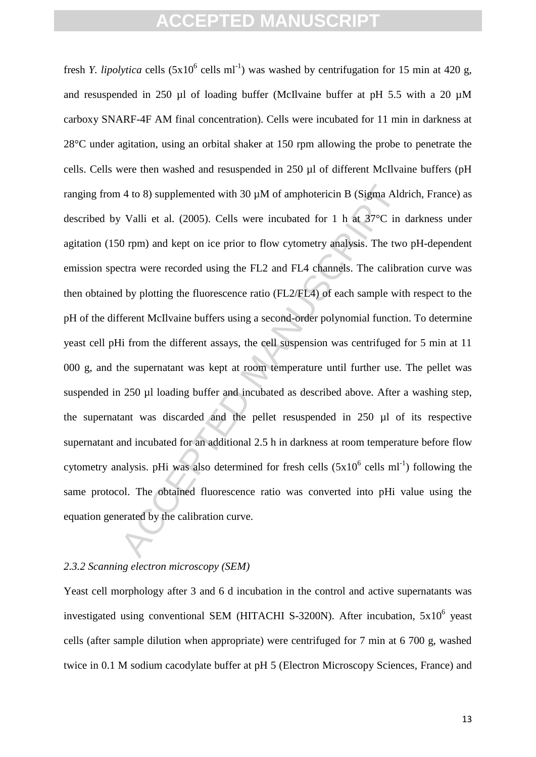4 to 8) supplemented with 30  $\mu$ M of amphotericin B (Sigma Ald<br>
v Valli et al. (2005). Cells were incubated for 1 h at 37°C in<br>
0 rpm) and kept on ice prior to flow cytometry analysis. The two<br>
certa were recorded using fresh *Y. lipolytica* cells  $(5x10^6 \text{ cells ml}^{-1})$  was washed by centrifugation for 15 min at 420 g, and resuspended in 250  $\mu$ l of loading buffer (McIlvaine buffer at pH 5.5 with a 20  $\mu$ M carboxy SNARF-4F AM final concentration). Cells were incubated for 11 min in darkness at 28°C under agitation, using an orbital shaker at 150 rpm allowing the probe to penetrate the cells. Cells were then washed and resuspended in 250 µl of different McIlvaine buffers (pH ranging from 4 to 8) supplemented with 30 µM of amphotericin B (Sigma Aldrich, France) as described by Valli et al. (2005). Cells were incubated for 1 h at 37°C in darkness under agitation (150 rpm) and kept on ice prior to flow cytometry analysis. The two pH-dependent emission spectra were recorded using the FL2 and FL4 channels. The calibration curve was then obtained by plotting the fluorescence ratio (FL2/FL4) of each sample with respect to the pH of the different McIlvaine buffers using a second-order polynomial function. To determine yeast cell pHi from the different assays, the cell suspension was centrifuged for 5 min at 11 000 g, and the supernatant was kept at room temperature until further use. The pellet was suspended in 250 µl loading buffer and incubated as described above. After a washing step, the supernatant was discarded and the pellet resuspended in 250 µl of its respective supernatant and incubated for an additional 2.5 h in darkness at room temperature before flow cytometry analysis. pHi was also determined for fresh cells  $(5x10^6 \text{ cells ml}^{-1})$  following the same protocol. The obtained fluorescence ratio was converted into pHi value using the equation generated by the calibration curve.

## *2.3.2 Scanning electron microscopy (SEM)*

Yeast cell morphology after 3 and 6 d incubation in the control and active supernatants was investigated using conventional SEM (HITACHI S-3200N). After incubation,  $5x10^6$  yeast cells (after sample dilution when appropriate) were centrifuged for 7 min at 6 700 g, washed twice in 0.1 M sodium cacodylate buffer at pH 5 (Electron Microscopy Sciences, France) and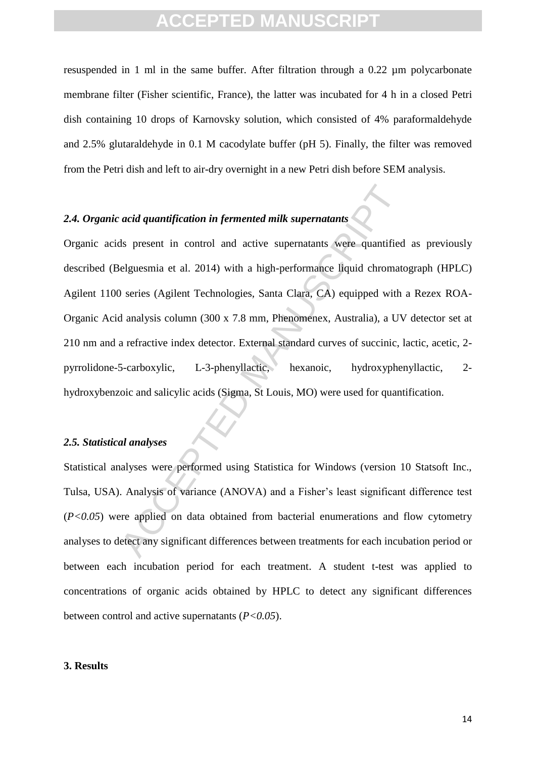resuspended in 1 ml in the same buffer. After filtration through a 0.22 µm polycarbonate membrane filter (Fisher scientific, France), the latter was incubated for 4 h in a closed Petri dish containing 10 drops of Karnovsky solution, which consisted of 4% paraformaldehyde and 2.5% glutaraldehyde in 0.1 M cacodylate buffer (pH 5). Finally, the filter was removed from the Petri dish and left to air-dry overnight in a new Petri dish before SEM analysis.

## *2.4. Organic acid quantification in fermented milk supernatants*

acid quantification in fermented milk supernatants<br>
als present in control and active supernatants were quantified<br>
elguesmia et al. 2014) with a high-performance liquid chromate<br>
9 series (Agilent Technologies, Santa Clar Organic acids present in control and active supernatants were quantified as previously described (Belguesmia et al. 2014) with a high-performance liquid chromatograph (HPLC) Agilent 1100 series (Agilent Technologies, Santa Clara, CA) equipped with a Rezex ROA-Organic Acid analysis column (300 x 7.8 mm, Phenomenex, Australia), a UV detector set at 210 nm and a refractive index detector. External standard curves of succinic, lactic, acetic, 2 pyrrolidone-5-carboxylic, L-3-phenyllactic, hexanoic, hydroxyphenyllactic, 2 hydroxybenzoic and salicylic acids (Sigma, St Louis, MO) were used for quantification.

#### *2.5. Statistical analyses*

Statistical analyses were performed using Statistica for Windows (version 10 Statsoft Inc., Tulsa, USA). Analysis of variance (ANOVA) and a Fisher's least significant difference test (*P<0.05*) were applied on data obtained from bacterial enumerations and flow cytometry analyses to detect any significant differences between treatments for each incubation period or between each incubation period for each treatment. A student t-test was applied to concentrations of organic acids obtained by HPLC to detect any significant differences between control and active supernatants (*P<0.05*).

#### **3. Results**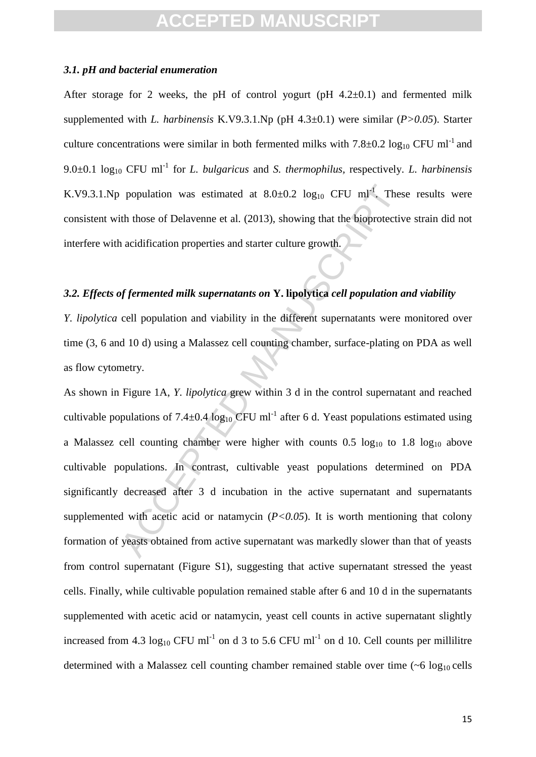### *3.1. pH and bacterial enumeration*

After storage for 2 weeks, the pH of control yogurt (pH  $4.2\pm0.1$ ) and fermented milk supplemented with *L. harbinensis* K.V9.3.1.Np (pH 4.3±0.1) were similar (*P>0.05*). Starter culture concentrations were similar in both fermented milks with  $7.8\pm0.2 \log_{10} CFU$  ml<sup>-1</sup> and  $9.0\pm0.1$  log<sub>10</sub> CFU ml<sup>-1</sup> for *L. bulgaricus* and *S. thermophilus,* respectively. *L. harbinensis* K.V9.3.1.Np population was estimated at  $8.0 \pm 0.2$  log<sub>10</sub> CFU ml<sup>-1</sup>. These results were consistent with those of Delavenne et al. (2013), showing that the bioprotective strain did not interfere with acidification properties and starter culture growth.

## *3.2. Effects of fermented milk supernatants on* **Y. lipolytica** *cell population and viability*

*Y. lipolytica* cell population and viability in the different supernatants were monitored over time (3, 6 and 10 d) using a Malassez cell counting chamber, surface-plating on PDA as well as flow cytometry.

population was estimated at 8.0±0.2 log<sub>10</sub> CFU ml<sup>-1</sup>. These<br>ith those of Delavenne et al. (2013), showing that the bioprotective<br>acidification properties and starter culture growth.<br>Af fermented milk supernatants on **Y** As shown in Figure 1A, *Y. lipolytica* grew within 3 d in the control supernatant and reached cultivable populations of  $7.4 \pm 0.4 \log_{10}$  CFU ml<sup>-1</sup> after 6 d. Yeast populations estimated using a Malassez cell counting chamber were higher with counts  $0.5 \log_{10}$  to  $1.8 \log_{10}$  above cultivable populations. In contrast, cultivable yeast populations determined on PDA significantly decreased after 3 d incubation in the active supernatant and supernatants supplemented with acetic acid or natamycin  $(P<0.05)$ . It is worth mentioning that colony formation of yeasts obtained from active supernatant was markedly slower than that of yeasts from control supernatant (Figure S1), suggesting that active supernatant stressed the yeast cells. Finally, while cultivable population remained stable after 6 and 10 d in the supernatants supplemented with acetic acid or natamycin, yeast cell counts in active supernatant slightly increased from 4.3  $log_{10}$  CFU ml<sup>-1</sup> on d 3 to 5.6 CFU ml<sup>-1</sup> on d 10. Cell counts per millilitre determined with a Malassez cell counting chamber remained stable over time  $({\sim}6 \log_{10}$  cells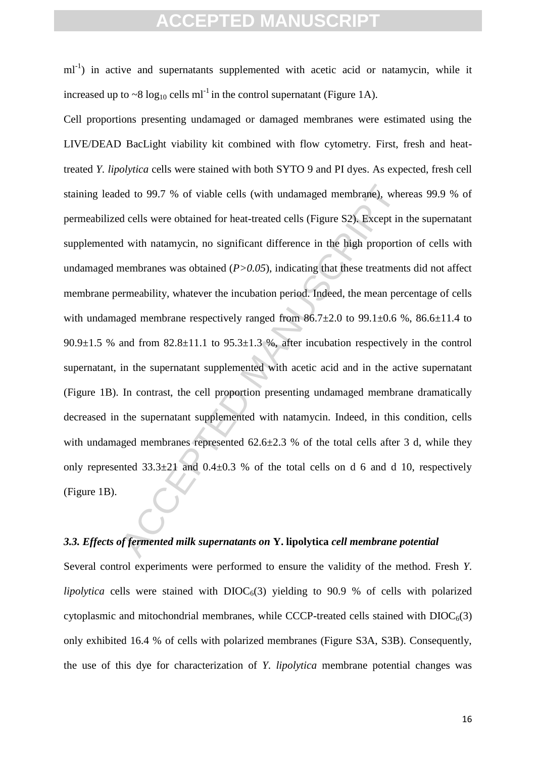$ml^{-1}$ ) in active and supernatants supplemented with acetic acid or natamycin, while it increased up to  $\sim 8 \log_{10}$  cells ml<sup>-1</sup> in the control supernatant (Figure 1A).

led to 99.7 % of viable cells (with undamaged membrane), where dells were obtained for heat-treated cells (Figure S2). Except in d with natamycin, no significant difference in the high proportion-<br>membranes was obtained Cell proportions presenting undamaged or damaged membranes were estimated using the LIVE/DEAD BacLight viability kit combined with flow cytometry. First, fresh and heattreated *Y. lipolytica* cells were stained with both SYTO 9 and PI dyes. As expected, fresh cell staining leaded to 99.7 % of viable cells (with undamaged membrane), whereas 99.9 % of permeabilized cells were obtained for heat-treated cells (Figure S2). Except in the supernatant supplemented with natamycin, no significant difference in the high proportion of cells with undamaged membranes was obtained  $(P>0.05)$ , indicating that these treatments did not affect membrane permeability, whatever the incubation period. Indeed, the mean percentage of cells with undamaged membrane respectively ranged from  $86.7\pm2.0$  to  $99.1\pm0.6$  %,  $86.6\pm11.4$  to  $90.9\pm1.5$  % and from  $82.8\pm11.1$  to  $95.3\pm1.3$  %, after incubation respectively in the control supernatant, in the supernatant supplemented with acetic acid and in the active supernatant (Figure 1B). In contrast, the cell proportion presenting undamaged membrane dramatically decreased in the supernatant supplemented with natamycin. Indeed, in this condition, cells with undamaged membranes represented  $62.6\pm 2.3$  % of the total cells after 3 d, while they only represented  $33.3\pm21$  and  $0.4\pm0.3$  % of the total cells on d 6 and d 10, respectively (Figure 1B).

### *3.3. Effects of fermented milk supernatants on* **Y. lipolytica** *cell membrane potential*

Several control experiments were performed to ensure the validity of the method. Fresh *Y. lipolytica* cells were stained with  $DIOC<sub>6</sub>(3)$  yielding to 90.9 % of cells with polarized cytoplasmic and mitochondrial membranes, while CCCP-treated cells stained with  $DIOC<sub>6</sub>(3)$ only exhibited 16.4 % of cells with polarized membranes (Figure S3A, S3B). Consequently, the use of this dye for characterization of *Y. lipolytica* membrane potential changes was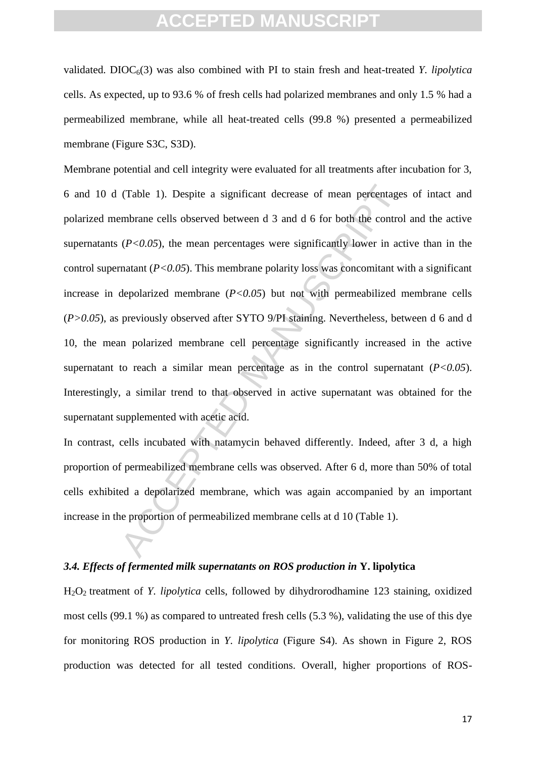validated.  $DIOC<sub>6</sub>(3)$  was also combined with PI to stain fresh and heat-treated *Y. lipolytica* cells. As expected, up to 93.6 % of fresh cells had polarized membranes and only 1.5 % had a permeabilized membrane, while all heat-treated cells (99.8 %) presented a permeabilized membrane (Figure S3C, S3D).

(Table 1). Despite a significant decrease of mean percentages<br>embrane cells observed between d 3 and d 6 for both the control<br>( $P<0.05$ ), the mean percentages were significantly lower in act<br>matant ( $P<0.05$ ). This membra Membrane potential and cell integrity were evaluated for all treatments after incubation for 3, 6 and 10 d (Table 1). Despite a significant decrease of mean percentages of intact and polarized membrane cells observed between d 3 and d 6 for both the control and the active supernatants  $(P<0.05)$ , the mean percentages were significantly lower in active than in the control supernatant (*P<0.05*). This membrane polarity loss was concomitant with a significant increase in depolarized membrane  $(P<0.05)$  but not with permeabilized membrane cells (*P>0.05*), as previously observed after SYTO 9/PI staining. Nevertheless, between d 6 and d 10, the mean polarized membrane cell percentage significantly increased in the active supernatant to reach a similar mean percentage as in the control supernatant  $(P<0.05)$ . Interestingly, a similar trend to that observed in active supernatant was obtained for the supernatant supplemented with acetic acid.

In contrast, cells incubated with natamycin behaved differently. Indeed, after 3 d, a high proportion of permeabilized membrane cells was observed. After 6 d, more than 50% of total cells exhibited a depolarized membrane, which was again accompanied by an important increase in the proportion of permeabilized membrane cells at d 10 (Table 1).

### *3.4. Effects of fermented milk supernatants on ROS production in* **Y. lipolytica**

H2O2 treatment of *Y. lipolytica* cells, followed by dihydrorodhamine 123 staining, oxidized most cells (99.1 %) as compared to untreated fresh cells (5.3 %), validating the use of this dye for monitoring ROS production in *Y. lipolytica* (Figure S4). As shown in Figure 2, ROS production was detected for all tested conditions. Overall, higher proportions of ROS-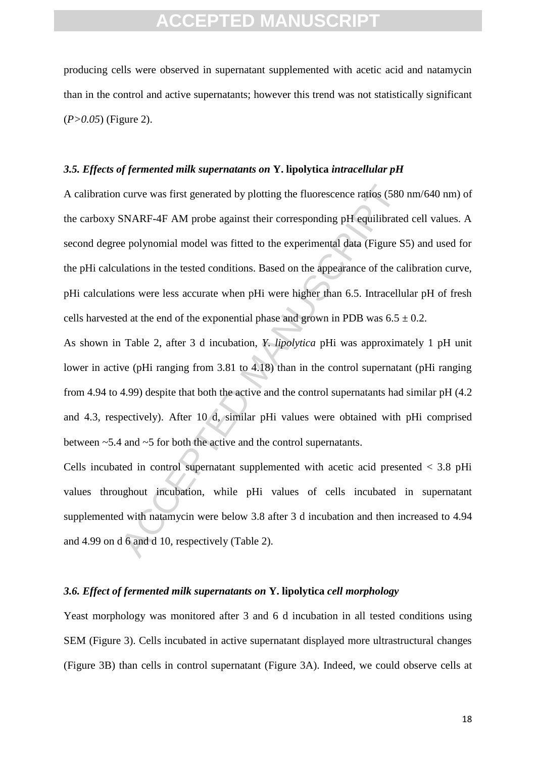producing cells were observed in supernatant supplemented with acetic acid and natamycin than in the control and active supernatants; however this trend was not statistically significant (*P>0.05*) (Figure 2).

#### *3.5. Effects of fermented milk supernatants on* **Y. lipolytica** *intracellular pH*

curve was first generated by plotting the fluorescence ratios (580 SNARF-4F AM probe against their corresponding pH equilibrate e polynomial model was fitted to the experimental data (Figure S ulations in the tested condi A calibration curve was first generated by plotting the fluorescence ratios (580 nm/640 nm) of the carboxy SNARF-4F AM probe against their corresponding pH equilibrated cell values. A second degree polynomial model was fitted to the experimental data (Figure S5) and used for the pHi calculations in the tested conditions. Based on the appearance of the calibration curve, pHi calculations were less accurate when pHi were higher than 6.5. Intracellular pH of fresh cells harvested at the end of the exponential phase and grown in PDB was  $6.5 \pm 0.2$ .

As shown in Table 2, after 3 d incubation, *Y. lipolytica* pHi was approximately 1 pH unit lower in active (pHi ranging from 3.81 to 4.18) than in the control supernatant (pHi ranging from 4.94 to 4.99) despite that both the active and the control supernatants had similar pH (4.2 and 4.3, respectively). After 10 d, similar pHi values were obtained with pHi comprised between ~5.4 and ~5 for both the active and the control supernatants.

Cells incubated in control supernatant supplemented with acetic acid presented < 3.8 pHi values throughout incubation, while pHi values of cells incubated in supernatant supplemented with natamycin were below 3.8 after 3 d incubation and then increased to 4.94 and 4.99 on d 6 and d 10, respectively (Table 2).

### *3.6. Effect of fermented milk supernatants on* **Y. lipolytica** *cell morphology*

Yeast morphology was monitored after 3 and 6 d incubation in all tested conditions using SEM (Figure 3). Cells incubated in active supernatant displayed more ultrastructural changes (Figure 3B) than cells in control supernatant (Figure 3A). Indeed, we could observe cells at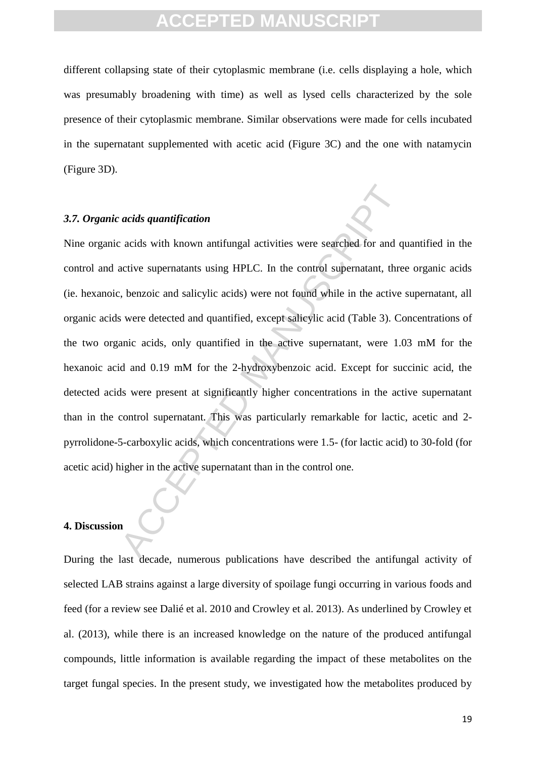different collapsing state of their cytoplasmic membrane (i.e. cells displaying a hole, which was presumably broadening with time) as well as lysed cells characterized by the sole presence of their cytoplasmic membrane. Similar observations were made for cells incubated in the supernatant supplemented with acetic acid (Figure 3C) and the one with natamycin (Figure 3D).

### *3.7. Organic acids quantification*

acids quantification<br>acids with known antifungal activities were searched for and q<br>active supernatants using HPLC. In the control supernatant, thre<br>backed and salicylic acids) were not found while in the active<br>swere dete Nine organic acids with known antifungal activities were searched for and quantified in the control and active supernatants using HPLC. In the control supernatant, three organic acids (ie. hexanoic, benzoic and salicylic acids) were not found while in the active supernatant, all organic acids were detected and quantified, except salicylic acid (Table 3). Concentrations of the two organic acids, only quantified in the active supernatant, were 1.03 mM for the hexanoic acid and 0.19 mM for the 2-hydroxybenzoic acid. Except for succinic acid, the detected acids were present at significantly higher concentrations in the active supernatant than in the control supernatant. This was particularly remarkable for lactic, acetic and 2 pyrrolidone-5-carboxylic acids, which concentrations were 1.5- (for lactic acid) to 30-fold (for acetic acid) higher in the active supernatant than in the control one.

## **4. Discussion**

During the last decade, numerous publications have described the antifungal activity of selected LAB strains against a large diversity of spoilage fungi occurring in various foods and feed (for a review see Dalié et al. 2010 and Crowley et al. 2013). As underlined by Crowley et al. (2013), while there is an increased knowledge on the nature of the produced antifungal compounds, little information is available regarding the impact of these metabolites on the target fungal species. In the present study, we investigated how the metabolites produced by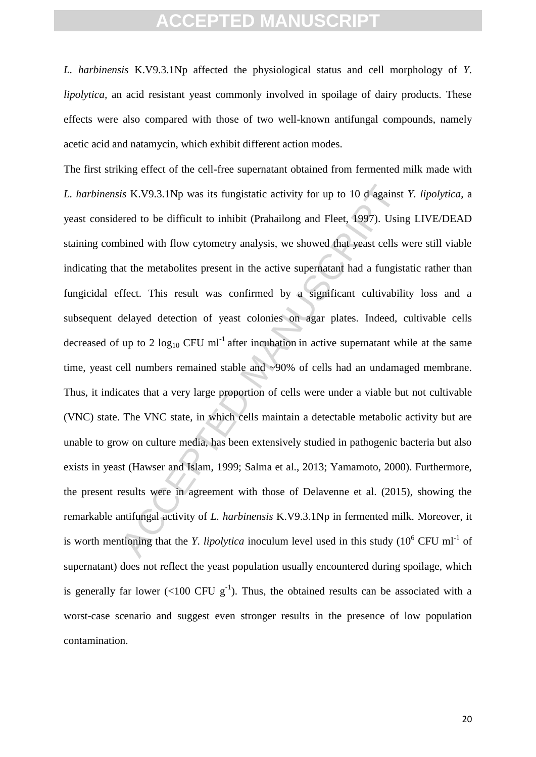*L. harbinensis* K.V9.3.1Np affected the physiological status and cell morphology of *Y. lipolytica*, an acid resistant yeast commonly involved in spoilage of dairy products. These effects were also compared with those of two well-known antifungal compounds, namely acetic acid and natamycin, which exhibit different action modes.

is K.V9.3.1Np was its fungistatic activity for up to 10 d against<br>ered to be difficult to inhibit (Prahailong and Fleet, 1997). Usin<br>bined with flow cytometry analysis, we showed that yeast cells v<br>at the metabolites pres The first striking effect of the cell-free supernatant obtained from fermented milk made with *L. harbinensis* K.V9.3.1Np was its fungistatic activity for up to 10 d against *Y. lipolytica*, a yeast considered to be difficult to inhibit (Prahailong and Fleet, 1997). Using LIVE/DEAD staining combined with flow cytometry analysis, we showed that yeast cells were still viable indicating that the metabolites present in the active supernatant had a fungistatic rather than fungicidal effect. This result was confirmed by a significant cultivability loss and a subsequent delayed detection of yeast colonies on agar plates. Indeed, cultivable cells decreased of up to 2  $log_{10}$  CFU ml<sup>-1</sup> after incubation in active supernatant while at the same time, yeast cell numbers remained stable and ~90% of cells had an undamaged membrane. Thus, it indicates that a very large proportion of cells were under a viable but not cultivable (VNC) state. The VNC state, in which cells maintain a detectable metabolic activity but are unable to grow on culture media, has been extensively studied in pathogenic bacteria but also exists in yeast (Hawser and Islam, 1999; Salma et al., 2013; Yamamoto, 2000). Furthermore, the present results were in agreement with those of Delavenne et al. (2015), showing the remarkable antifungal activity of *L. harbinensis* K.V9.3.1Np in fermented milk. Moreover, it is worth mentioning that the *Y. lipolytica* inoculum level used in this study  $(10^6 \text{ CFU ml}^{-1} \text{ of }$ supernatant) does not reflect the yeast population usually encountered during spoilage, which is generally far lower (<100 CFU  $g^{-1}$ ). Thus, the obtained results can be associated with a worst-case scenario and suggest even stronger results in the presence of low population contamination.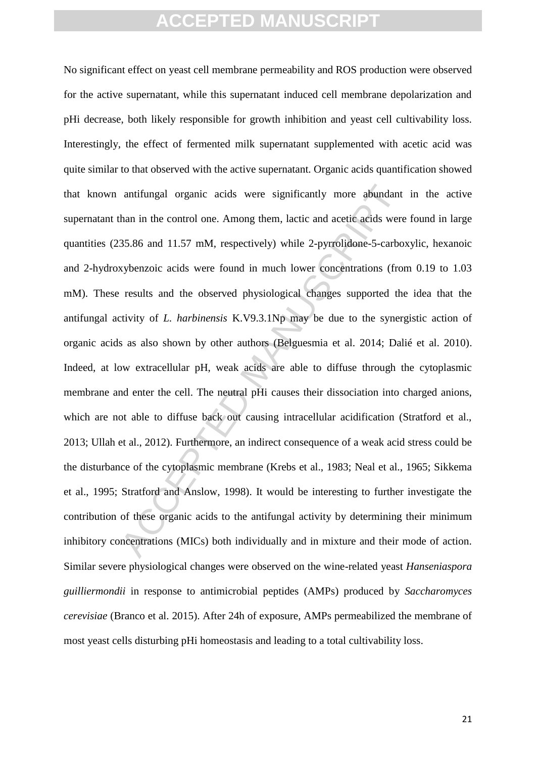antifungal organic acids were significantly more abundant<br>han in the control one. Among them, lactic and acetic acids were<br>35.86 and 11.57 mM, respectively) while 2-pyrrolidone-5-carbo<br>xybenzoic acids were found in much l No significant effect on yeast cell membrane permeability and ROS production were observed for the active supernatant, while this supernatant induced cell membrane depolarization and pHi decrease, both likely responsible for growth inhibition and yeast cell cultivability loss. Interestingly, the effect of fermented milk supernatant supplemented with acetic acid was quite similar to that observed with the active supernatant. Organic acids quantification showed that known antifungal organic acids were significantly more abundant in the active supernatant than in the control one. Among them, lactic and acetic acids were found in large quantities (235.86 and 11.57 mM, respectively) while 2-pyrrolidone-5-carboxylic, hexanoic and 2-hydroxybenzoic acids were found in much lower concentrations (from 0.19 to 1.03 mM). These results and the observed physiological changes supported the idea that the antifungal activity of *L. harbinensis* K.V9.3.1Np may be due to the synergistic action of organic acids as also shown by other authors (Belguesmia et al. 2014; Dalié et al. 2010). Indeed, at low extracellular pH, weak acids are able to diffuse through the cytoplasmic membrane and enter the cell. The neutral pHi causes their dissociation into charged anions, which are not able to diffuse back out causing intracellular acidification (Stratford et al., 2013; Ullah et al., 2012). Furthermore, an indirect consequence of a weak acid stress could be the disturbance of the cytoplasmic membrane (Krebs et al., 1983; Neal et al., 1965; Sikkema et al., 1995; Stratford and Anslow, 1998). It would be interesting to further investigate the contribution of these organic acids to the antifungal activity by determining their minimum inhibitory concentrations (MICs) both individually and in mixture and their mode of action. Similar severe physiological changes were observed on the wine-related yeast *Hanseniaspora guilliermondii* in response to antimicrobial peptides (AMPs) produced by *Saccharomyces cerevisiae* (Branco et al. 2015). After 24h of exposure, AMPs permeabilized the membrane of most yeast cells disturbing pHi homeostasis and leading to a total cultivability loss.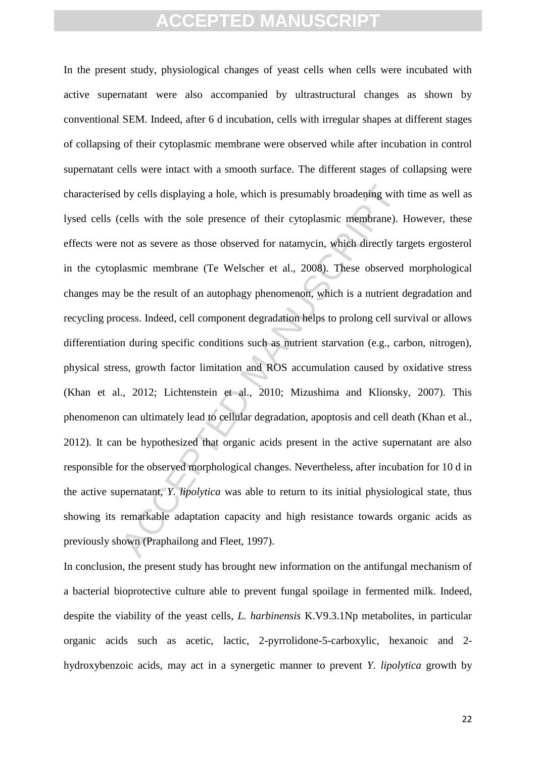I by cells displaying a hole, which is presumably broadening with<br>cells with the sole presence of their cytoplasmic membrane). I<br>not as severe as those observed for natamycin, which directly ta<br>lasmic membrane (Te Welscher In the present study, physiological changes of yeast cells when cells were incubated with active supernatant were also accompanied by ultrastructural changes as shown by conventional SEM. Indeed, after 6 d incubation, cells with irregular shapes at different stages of collapsing of their cytoplasmic membrane were observed while after incubation in control supernatant cells were intact with a smooth surface. The different stages of collapsing were characterised by cells displaying a hole, which is presumably broadening with time as well as lysed cells (cells with the sole presence of their cytoplasmic membrane). However, these effects were not as severe as those observed for natamycin, which directly targets ergosterol in the cytoplasmic membrane (Te Welscher et al., 2008). These observed morphological changes may be the result of an autophagy phenomenon, which is a nutrient degradation and recycling process. Indeed, cell component degradation helps to prolong cell survival or allows differentiation during specific conditions such as nutrient starvation (e.g., carbon, nitrogen), physical stress, growth factor limitation and ROS accumulation caused by oxidative stress (Khan et al., 2012; Lichtenstein et al., 2010; Mizushima and Klionsky, 2007). This phenomenon can ultimately lead to cellular degradation, apoptosis and cell death (Khan et al., 2012). It can be hypothesized that organic acids present in the active supernatant are also responsible for the observed morphological changes. Nevertheless, after incubation for 10 d in the active supernatant, *Y. lipolytica* was able to return to its initial physiological state, thus showing its remarkable adaptation capacity and high resistance towards organic acids as previously shown (Praphailong and Fleet, 1997).

In conclusion, the present study has brought new information on the antifungal mechanism of a bacterial bioprotective culture able to prevent fungal spoilage in fermented milk. Indeed, despite the viability of the yeast cells, *L. harbinensis* K.V9.3.1Np metabolites, in particular organic acids such as acetic, lactic, 2-pyrrolidone-5-carboxylic, hexanoic and 2 hydroxybenzoic acids, may act in a synergetic manner to prevent *Y. lipolytica* growth by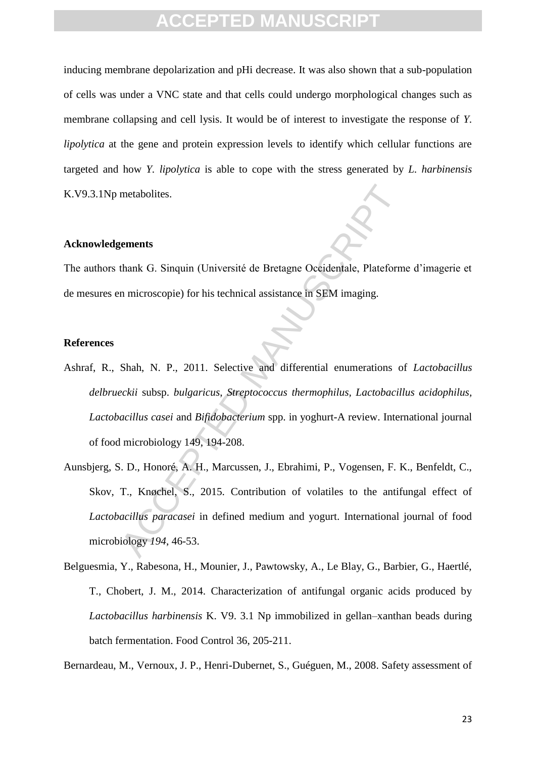inducing membrane depolarization and pHi decrease. It was also shown that a sub-population of cells was under a VNC state and that cells could undergo morphological changes such as membrane collapsing and cell lysis. It would be of interest to investigate the response of *Y. lipolytica* at the gene and protein expression levels to identify which cellular functions are targeted and how *Y. lipolytica* is able to cope with the stress generated by *L. harbinensis*  K.V9.3.1Np metabolites.

### **Acknowledgements**

The authors thank G. Sinquin (Université de Bretagne Occidentale, Plateforme d'imagerie et de mesures en microscopie) for his technical assistance in SEM imaging.

### **References**

- metabolites.<br> **Example 18.1**<br> **Example 18.1**<br> **Example 18.1**<br> **Example 18.2**<br> **Example 18.2**<br> **Example 18.2**<br> **Example 18.2**<br> **Example 18.2**<br> **Example 18.2**<br> **Example 18.2**<br> **Example 14.9.**<br> **Example 14.9.**<br> **Example 14.9.** Ashraf, R., Shah, N. P., 2011. Selective and differential enumerations of *Lactobacillus delbrueckii* subsp. *bulgaricus*, *Streptococcus thermophilus, Lactobacillus acidophilus, Lactobacillus casei* and *Bifidobacterium* spp. in yoghurt-A review. International journal of food microbiology 149, 194-208.
- Aunsbjerg, S. D., Honoré, A. H., Marcussen, J., Ebrahimi, P., Vogensen, F. K., Benfeldt, C., Skov, T., Knøchel, S., 2015. Contribution of volatiles to the antifungal effect of *Lactobacillus paracasei* in defined medium and yogurt. International journal of food microbiology *194*, 46-53.
- Belguesmia, Y., Rabesona, H., Mounier, J., Pawtowsky, A., Le Blay, G., Barbier, G., Haertlé, T., Chobert, J. M., 2014. Characterization of antifungal organic acids produced by *Lactobacillus harbinensis* K. V9. 3.1 Np immobilized in gellan–xanthan beads during batch fermentation. Food Control 36, 205-211.

Bernardeau, M., Vernoux, J. P., Henri-Dubernet, S., Guéguen, M., 2008. Safety assessment of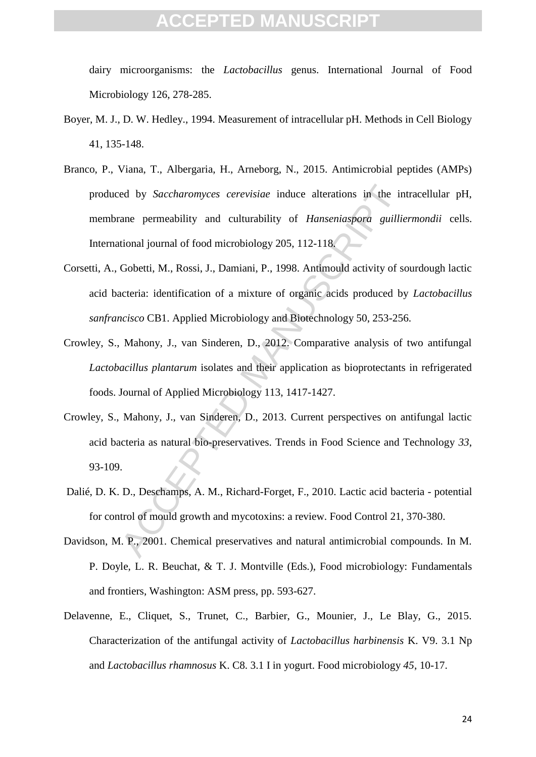dairy microorganisms: the *Lactobacillus* genus. International Journal of Food Microbiology 126, 278-285.

- Boyer, M. J., D. W. Hedley., 1994. Measurement of intracellular pH. Methods in Cell Biology 41, 135-148.
- ed by *Saccharomyces cerevisiae* induce alterations in the in<br>
ane permeability and culturability of *Hanseniaspora* guillie<br>
tional journal of food microbiology 205, 112-118.<br>
Gobetti, M., Rossi, J., Damiani, P., 1998. An Branco, P., Viana, T., Albergaria, H., Arneborg, N., 2015. Antimicrobial peptides (AMPs) produced by *Saccharomyces cerevisiae* induce alterations in the intracellular pH, membrane permeability and culturability of *Hanseniaspora guilliermondii* cells. International journal of food microbiology 205, 112-118.
- Corsetti, A., Gobetti, M., Rossi, J., Damiani, P., 1998. Antimould activity of sourdough lactic acid bacteria: identification of a mixture of organic acids produced by *Lactobacillus sanfrancisco* CB1. Applied Microbiology and Biotechnology 50, 253-256.
- Crowley, S., Mahony, J., van Sinderen, D., 2012. Comparative analysis of two antifungal *Lactobacillus plantarum* isolates and their application as bioprotectants in refrigerated foods. Journal of Applied Microbiology 113, 1417-1427.
- Crowley, S., Mahony, J., van Sinderen, D., 2013. Current perspectives on antifungal lactic acid bacteria as natural bio-preservatives. Trends in Food Science and Technology *33*, 93-109.
- Dalié, D. K. D., Deschamps, A. M., Richard-Forget, F., 2010. Lactic acid bacteria potential for control of mould growth and mycotoxins: a review. Food Control 21, 370-380.
- Davidson, M. P., 2001. Chemical preservatives and natural antimicrobial compounds. In M. P. Doyle, L. R. Beuchat, & T. J. Montville (Eds.), Food microbiology: Fundamentals and frontiers, Washington: ASM press, pp. 593-627.
- Delavenne, E., Cliquet, S., Trunet, C., Barbier, G., Mounier, J., Le Blay, G., 2015. Characterization of the antifungal activity of *Lactobacillus harbinensis* K. V9. 3.1 Np and *Lactobacillus rhamnosus* K. C8. 3.1 I in yogurt. Food microbiology *45*, 10-17.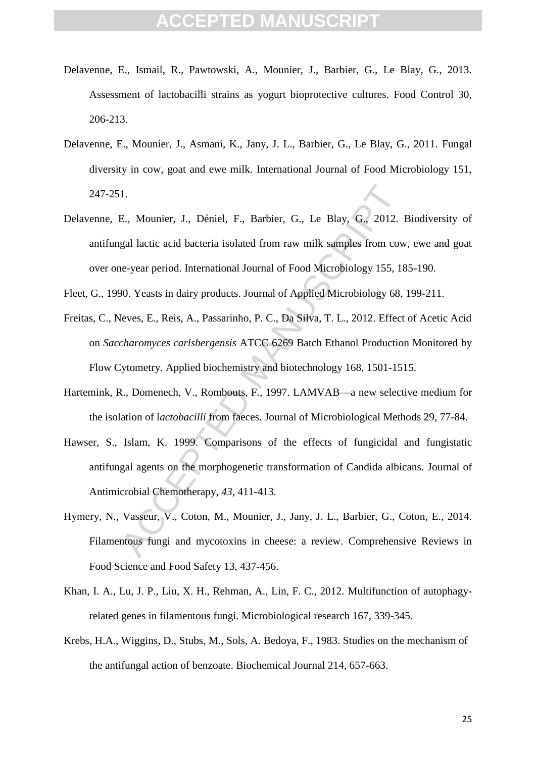- Delavenne, E., Ismail, R., Pawtowski, A., Mounier, J., Barbier, G., Le Blay, G., 2013. Assessment of lactobacilli strains as yogurt bioprotective cultures. Food Control 30, 206-213.
- Delavenne, E., Mounier, J., Asmani, K., Jany, J. L., Barbier, G., Le Blay, G., 2011. Fungal diversity in cow, goat and ewe milk. International Journal of Food Microbiology 151, 247-251.
- Delavenne, E., Mounier, J., Déniel, F., Barbier, G., Le Blay, G., 2012. Biodiversity of antifungal lactic acid bacteria isolated from raw milk samples from cow, ewe and goat over one-year period. International Journal of Food Microbiology 155, 185-190.
- Fleet, G., 1990. Yeasts in dairy products. Journal of Applied Microbiology 68, 199-211.
- Freitas, C., Neves, E., Reis, A., Passarinho, P. C., Da Silva, T. L., 2012. Effect of Acetic Acid on *Saccharomyces carlsbergensis* ATCC 6269 Batch Ethanol Production Monitored by Flow Cytometry. Applied biochemistry and biotechnology 168, 1501-1515.
- Hartemink, R., Domenech, V., Rombouts, F., 1997. LAMVAB—a new selective medium for the isolation of l*actobacilli* from faeces. Journal of Microbiological Methods 29, 77-84.
- 1.<br>
E., Mounier, J., Déniel, F., Barbier, G., Le Blay, G., 2012.<br>
gal lactic acid bacteria isolated from raw milk samples from cow<br>
ne-year period. International Journal of Food Microbiology 155, 18<br>
90. Yeasts in dairy pr Hawser, S., Islam, K. 1999. Comparisons of the effects of fungicidal and fungistatic antifungal agents on the morphogenetic transformation of Candida albicans. Journal of Antimicrobial Chemotherapy, *43*, 411-413.
- Hymery, N., Vasseur, V., Coton, M., Mounier, J., Jany, J. L., Barbier, G., Coton, E., 2014. Filamentous fungi and mycotoxins in cheese: a review. Comprehensive Reviews in Food Science and Food Safety 13, 437-456.
- Khan, I. A., Lu, J. P., Liu, X. H., Rehman, A., Lin, F. C., 2012. Multifunction of autophagyrelated genes in filamentous fungi. Microbiological research 167, 339-345.
- Krebs, H.A., Wiggins, D., Stubs, M., Sols, A. Bedoya, F., 1983. Studies on the mechanism of the antifungal action of benzoate. Biochemical Journal 214, 657-663.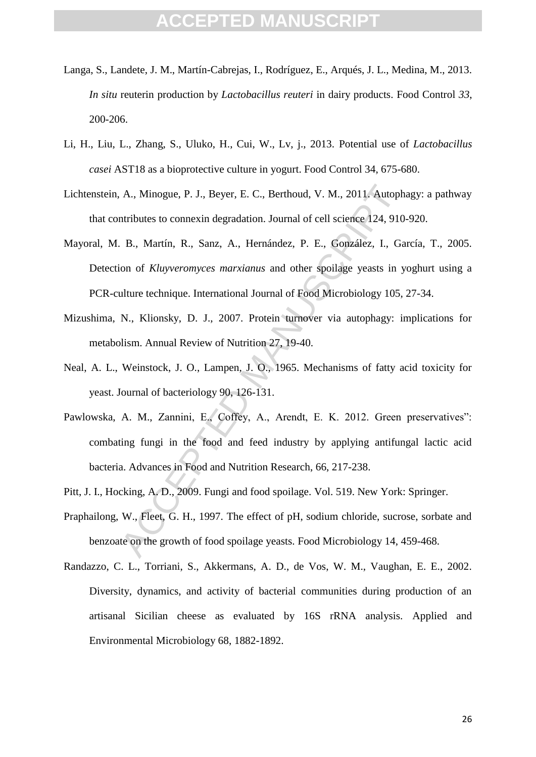- Langa, S., Landete, J. M., Martín-Cabrejas, I., Rodríguez, E., Arqués, J. L., Medina, M., 2013. *In situ* reuterin production by *Lactobacillus reuteri* in dairy products. Food Control *33*, 200-206.
- Li, H., Liu, L., Zhang, S., Uluko, H., Cui, W., Lv, j., 2013. Potential use of *Lactobacillus casei* AST18 as a bioprotective culture in yogurt. Food Control 34, 675-680.
- Lichtenstein, A., Minogue, P. J., Beyer, E. C., Berthoud, V. M., 2011. Autophagy: a pathway that contributes to connexin degradation. Journal of cell science 124, 910-920.
- Mayoral, M. B., Martín, R., Sanz, A., Hernández, P. E., González, I., García, T., 2005. Detection of *Kluyveromyces marxianus* and other spoilage yeasts in yoghurt using a PCR-culture technique. International Journal of Food Microbiology 105, 27-34.
- Mizushima, N., Klionsky, D. J., 2007. Protein turnover via autophagy: implications for metabolism. Annual Review of Nutrition 27, 19-40.
- Neal, A. L., Weinstock, J. O., Lampen, J. O., 1965. Mechanisms of fatty acid toxicity for yeast. Journal of bacteriology 90, 126-131.
- A., Minogue, P. J., Beyer, E. C., Berthoud, V. M., 2011. Autoph<br>ntributes to connexin degradation. Journal of cell science 124, 910<br>B., Martín, R., Sanz, A., Hernández, P. E., González, I., Ga<br>ion of *Kluyveromyces marxian* Pawlowska, A. M., Zannini, E., Coffey, A., Arendt, E. K. 2012. Green preservatives": combating fungi in the food and feed industry by applying antifungal lactic acid bacteria. Advances in Food and Nutrition Research, 66, 217-238.
- Pitt, J. I., Hocking, A. D., 2009. Fungi and food spoilage. Vol. 519. New York: Springer.
- Praphailong, W., Fleet, G. H., 1997. The effect of pH, sodium chloride, sucrose, sorbate and benzoate on the growth of food spoilage yeasts. Food Microbiology 14, 459-468.
- Randazzo, C. L., Torriani, S., Akkermans, A. D., de Vos, W. M., Vaughan, E. E., 2002. Diversity, dynamics, and activity of bacterial communities during production of an artisanal Sicilian cheese as evaluated by 16S rRNA analysis. Applied and Environmental Microbiology 68, 1882-1892.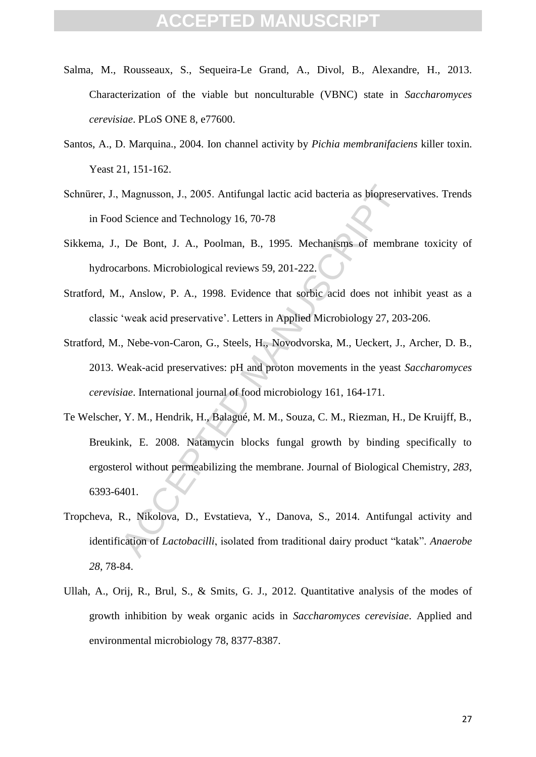- Salma, M., Rousseaux, S., Sequeira-Le Grand, A., Divol, B., Alexandre, H., 2013. Characterization of the viable but nonculturable (VBNC) state in *Saccharomyces cerevisiae*. PLoS ONE 8, e77600.
- Santos, A., D. Marquina., 2004. Ion channel activity by *Pichia membranifaciens* killer toxin. Yeast 21, 151-162.
- Schnürer, J., Magnusson, J., 2005. Antifungal lactic acid bacteria as biopreservatives. Trends in Food Science and Technology 16, 70-78
- Sikkema, J., De Bont, J. A., Poolman, B., 1995. Mechanisms of membrane toxicity of hydrocarbons. Microbiological reviews 59, 201-222.
- Stratford, M., Anslow, P. A., 1998. Evidence that sorbic acid does not inhibit yeast as a classic 'weak acid preservative'. Letters in Applied Microbiology 27, 203-206.
- Stratford, M., Nebe-von-Caron, G., Steels, H., Novodvorska, M., Ueckert, J., Archer, D. B., 2013. Weak-acid preservatives: pH and proton movements in the yeast *Saccharomyces cerevisiae*. International journal of food microbiology 161, 164-171.
- Magnusson, J., 2005. Antifungal lactic acid bacteria as biopreser<br>
1 Science and Technology 16, 70-78<br>
De Bont, J. A., Poolman, B., 1995. Mechanisms of membrarbons. Microbiological reviews 59, 201-222.<br>
., Anslow, P. A., 1 Te Welscher, Y. M., Hendrik, H., Balagué, M. M., Souza, C. M., Riezman, H., De Kruijff, B., Breukink, E. 2008. Natamycin blocks fungal growth by binding specifically to ergosterol without permeabilizing the membrane. Journal of Biological Chemistry, *283*, 6393-6401.
- Tropcheva, R., Nikolova, D., Evstatieva, Y., Danova, S., 2014. Antifungal activity and identification of *Lactobacilli*, isolated from traditional dairy product "katak". *Anaerobe 28*, 78-84.
- Ullah, A., Orij, R., Brul, S., & Smits, G. J., 2012. Quantitative analysis of the modes of growth inhibition by weak organic acids in *Saccharomyces cerevisiae*. Applied and environmental microbiology 78, 8377-8387.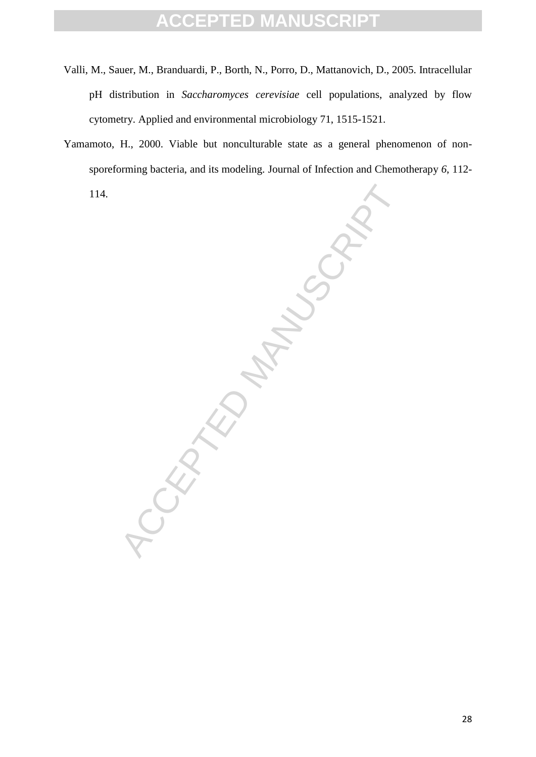- Valli, M., Sauer, M., Branduardi, P., Borth, N., Porro, D., Mattanovich, D., 2005. Intracellular pH distribution in *Saccharomyces cerevisiae* cell populations, analyzed by flow cytometry. Applied and environmental microbiology 71, 1515-1521.
- Yamamoto, H., 2000. Viable but nonculturable state as a general phenomenon of nonsporeforming bacteria, and its modeling. Journal of Infection and Chemotherapy *6*, 112-

114.

CEPTED MANUSCR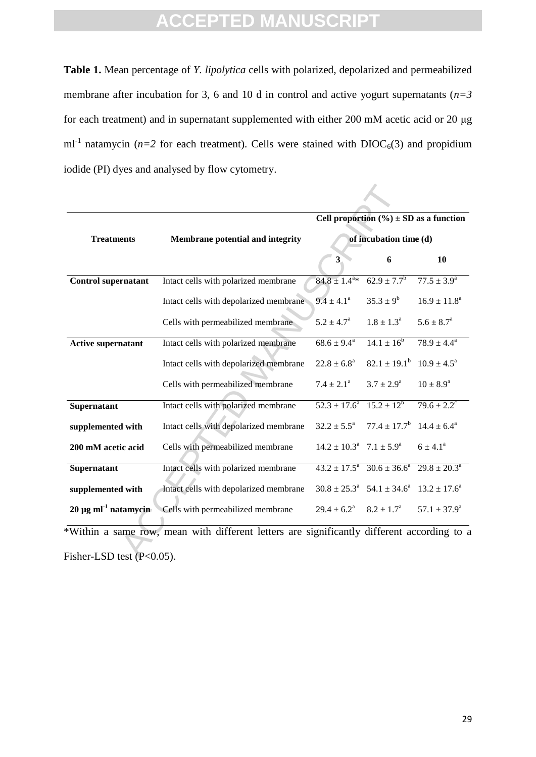**Table 1.** Mean percentage of *Y. lipolytica* cells with polarized, depolarized and permeabilized membrane after incubation for 3, 6 and 10 d in control and active yogurt supernatants (*n=3* for each treatment) and in supernatant supplemented with either 200 mM acetic acid or 20 μg ml<sup>-1</sup> natamycin ( $n=2$  for each treatment). Cells were stained with  $DIOC<sub>6</sub>(3)$  and propidium iodide (PI) dyes and analysed by flow cytometry.

|                                                                                                                        |                                         | Cell proportion $(\% ) \pm SD$ as a function<br>of incubation time (d) |                                                                                  |                            |  |  |
|------------------------------------------------------------------------------------------------------------------------|-----------------------------------------|------------------------------------------------------------------------|----------------------------------------------------------------------------------|----------------------------|--|--|
| <b>Treatments</b>                                                                                                      | <b>Membrane potential and integrity</b> |                                                                        |                                                                                  |                            |  |  |
|                                                                                                                        |                                         | $3^{\circ}$                                                            | 6                                                                                | 10                         |  |  |
| <b>Control supernatant</b>                                                                                             | Intact cells with polarized membrane    | $84.8 \pm 1.4^{\text{a}}*$                                             | $62.9 \pm 7.7^b$                                                                 | $77.5 \pm 3.9^{\circ}$     |  |  |
|                                                                                                                        | Intact cells with depolarized membrane  | $9.4 \pm 4.1^a$                                                        | $35.3 \pm 9^b$                                                                   | $16.9 \pm 11.8^a$          |  |  |
|                                                                                                                        | Cells with permeabilized membrane       | $5.2 \pm 4.7^{\circ}$                                                  | $1.8 \pm 1.3^{\rm a}$                                                            | $5.6 \pm 8.7^{\rm a}$      |  |  |
| <b>Active supernatant</b>                                                                                              | Intact cells with polarized membrane    | $68.6 \pm 9.4^{\circ}$                                                 | $14.1 \pm 16^b$                                                                  | $78.9 \pm 4.4^a$           |  |  |
|                                                                                                                        | Intact cells with depolarized membrane  | $22.8 \pm 6.8^a$                                                       | $82.1 \pm 19.1^b$ $10.9 \pm 4.5^a$                                               |                            |  |  |
|                                                                                                                        | Cells with permeabilized membrane       | $7.4 \pm 2.1^a$                                                        | $3.7 \pm 2.9^{\rm a}$                                                            | $10 \pm 8.9^{\rm a}$       |  |  |
| Supernatant                                                                                                            | Intact cells with polarized membrane    | $52.3 \pm 17.6^{\circ}$ $15.2 \pm 12^{\circ}$                          |                                                                                  | $79.6 \pm 2.2^c$           |  |  |
| supplemented with                                                                                                      | Intact cells with depolarized membrane  | $32.2 \pm 5.5^{\circ}$                                                 | $77.4 \pm 17.7^b$ 14.4 $\pm 6.4^a$                                               |                            |  |  |
| 200 mM acetic acid                                                                                                     | Cells with permeabilized membrane       | $14.2 \pm 10.3^{\text{a}}$ 7.1 $\pm 5.9^{\text{a}}$                    |                                                                                  | $6 \pm 4.1^{\circ}$        |  |  |
| Supernatant                                                                                                            | Intact cells with polarized membrane    |                                                                        | $43.2 \pm \overline{17.5^a}$ $30.6 \pm 36.6^a$                                   | $29.8 \pm 20.3^{\text{a}}$ |  |  |
| supplemented with                                                                                                      | Intact cells with depolarized membrane  |                                                                        | $30.8 \pm 25.3^{\text{a}}$ $54.1 \pm 34.6^{\text{a}}$ $13.2 \pm 17.6^{\text{a}}$ |                            |  |  |
| $20 \mu g$ ml <sup>-1</sup> natamycin                                                                                  | Cells with permeabilized membrane       | $29.4 \pm 6.2^{\circ}$                                                 | $8.2 \pm 1.7^{\rm a}$                                                            | $57.1 \pm 37.9^a$          |  |  |
| *Within a same row, mean with different letters are significantly different according to a<br>Fisher-LSD test (P<0.05) |                                         |                                                                        |                                                                                  |                            |  |  |

\*Within a same row, mean with different letters are significantly different according to a Fisher-LSD test (P<0.05).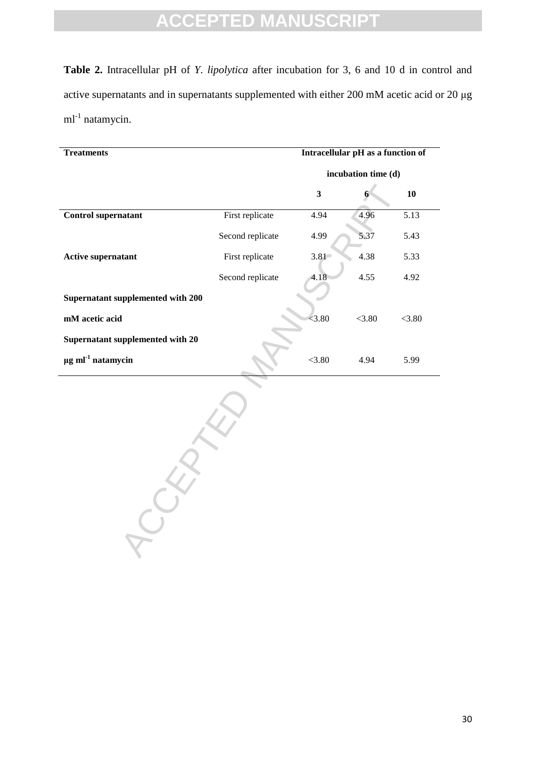**Table 2.** Intracellular pH of *Y. lipolytica* after incubation for 3, 6 and 10 d in control and active supernatants and in supernatants supplemented with either 200 mM acetic acid or 20 μg ml<sup>-1</sup> natamycin.

| <b>Treatments</b>                  | Intracellular pH as a function of |                       |        |        |
|------------------------------------|-----------------------------------|-----------------------|--------|--------|
|                                    |                                   | incubation time $(d)$ |        |        |
|                                    |                                   | 3                     | 6      | 10     |
| <b>Control supernatant</b>         | First replicate                   | 4.94                  | 4.96   | 5.13   |
|                                    | Second replicate                  | 4.99                  | 5.37   | 5.43   |
| <b>Active supernatant</b>          | First replicate                   | 3.81                  | 4.38   | 5.33   |
|                                    | Second replicate                  | 4.18                  | 4.55   | 4.92   |
| Supernatant supplemented with 200  |                                   |                       |        |        |
| mM acetic acid                     |                                   | < 3.80                | < 3.80 | < 3.80 |
| Supernatant supplemented with 20   |                                   |                       |        |        |
| $\mu$ g ml <sup>-1</sup> natamycin |                                   | < 3.80                | 4.94   | 5.99   |

RECEPTED MANUSCRIPT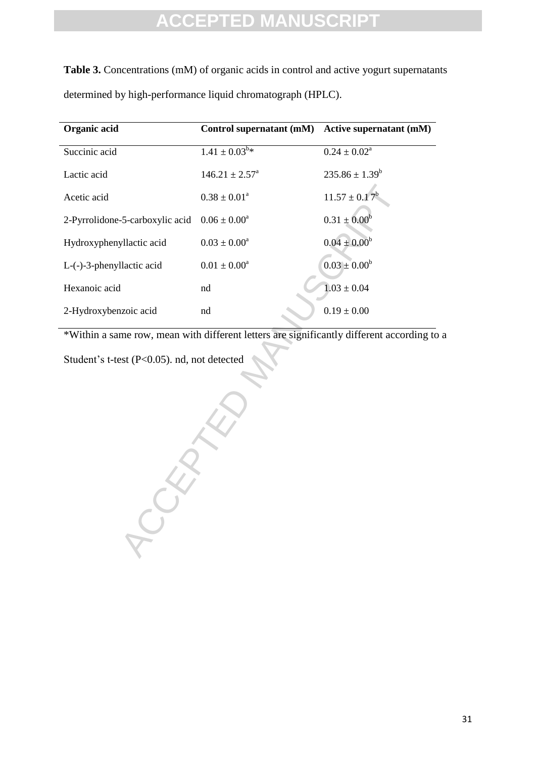**Table 3.** Concentrations (mM) of organic acids in control and active yogurt supernatants determined by high-performance liquid chromatograph (HPLC).

| Organic acid                                      | Control supernatant (mM) Active supernatant (mM) |                            |
|---------------------------------------------------|--------------------------------------------------|----------------------------|
| Succinic acid                                     | $1.41 \pm 0.03^{b*}$                             | $0.24 \pm 0.02^{\text{a}}$ |
| Lactic acid                                       | $146.21 \pm 2.57^{\circ}$                        | $235.86 \pm 1.39^b$        |
| Acetic acid                                       | $0.38 \pm 0.01^a$                                | $11.57 \pm 0.17^b$         |
| 2-Pyrrolidone-5-carboxylic acid $0.06 \pm 0.00^a$ |                                                  | $0.31 \pm 0.00^b$          |
| Hydroxyphenyllactic acid                          | $0.03 \pm 0.00^a$                                | $0.04 \pm 0.00^b$          |
| $L$ - $(-)$ -3-phenyllactic acid                  | $0.01 \pm 0.00^a$                                | $0.03 \pm 0.00^b$          |
| Hexanoic acid                                     | nd                                               | $1.03 \pm 0.04$            |
| 2-Hydroxybenzoic acid                             | nd                                               | $0.19 \pm 0.00$            |

\*Within a same row, mean with different letters are significantly different according to a

CCEPTED Student's t-test (P<0.05). nd, not detected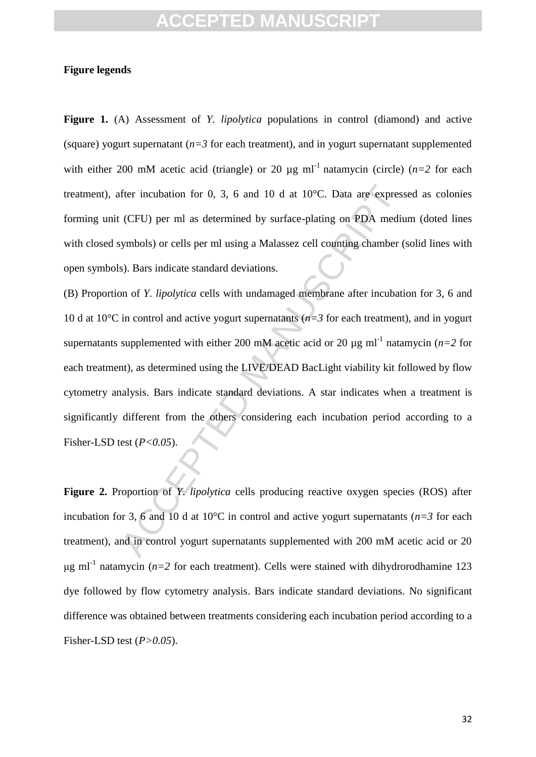## **Figure legends**

**Figure 1.** (A) Assessment of *Y. lipolytica* populations in control (diamond) and active (square) yogurt supernatant  $(n=3$  for each treatment), and in yogurt supernatant supplemented with either 200 mM acetic acid (triangle) or 20  $\mu$ g ml<sup>-1</sup> natamycin (circle) ( $n=2$  for each treatment), after incubation for 0, 3, 6 and 10 d at 10°C. Data are expressed as colonies forming unit (CFU) per ml as determined by surface-plating on PDA medium (doted lines with closed symbols) or cells per ml using a Malassez cell counting chamber (solid lines with open symbols). Bars indicate standard deviations.

fter incubation for 0, 3, 6 and 10 d at 10°C. Data are express<br>(CFU) per ml as determined by surface-plating on PDA medity<br>symbols) or cells per ml using a Malassez cell counting chamber (s). Bars indicate standard deviat (B) Proportion of *Y. lipolytica* cells with undamaged membrane after incubation for 3, 6 and 10 d at 10°C in control and active yogurt supernatants (*n=3* for each treatment), and in yogurt supernatants supplemented with either 200 mM acetic acid or 20  $\mu$ g ml<sup>-1</sup> natamycin (*n*=2 for each treatment), as determined using the LIVE/DEAD BacLight viability kit followed by flow cytometry analysis. Bars indicate standard deviations. A star indicates when a treatment is significantly different from the others considering each incubation period according to a Fisher-LSD test ( $P < 0.05$ ).

**Figure 2.** Proportion of *Y. lipolytica* cells producing reactive oxygen species (ROS) after incubation for 3, 6 and 10 d at 10<sup>o</sup>C in control and active yogurt supernatants ( $n=3$  for each treatment), and in control yogurt supernatants supplemented with 200 mM acetic acid or 20  $\mu$ g ml<sup>-1</sup> natamycin (*n*=2 for each treatment). Cells were stained with dihydrorodhamine 123 dye followed by flow cytometry analysis. Bars indicate standard deviations. No significant difference was obtained between treatments considering each incubation period according to a Fisher-LSD test (*P>0.05*).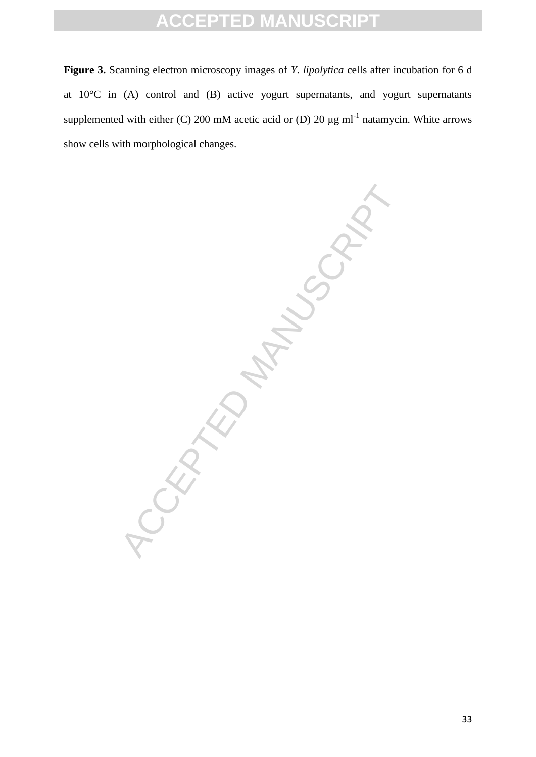**Figure 3.** Scanning electron microscopy images of *Y. lipolytica* cells after incubation for 6 d at 10°C in (A) control and (B) active yogurt supernatants, and yogurt supernatants supplemented with either (C) 200 mM acetic acid or (D) 20  $\mu$ g ml<sup>-1</sup> natamycin. White arrows show cells with morphological changes.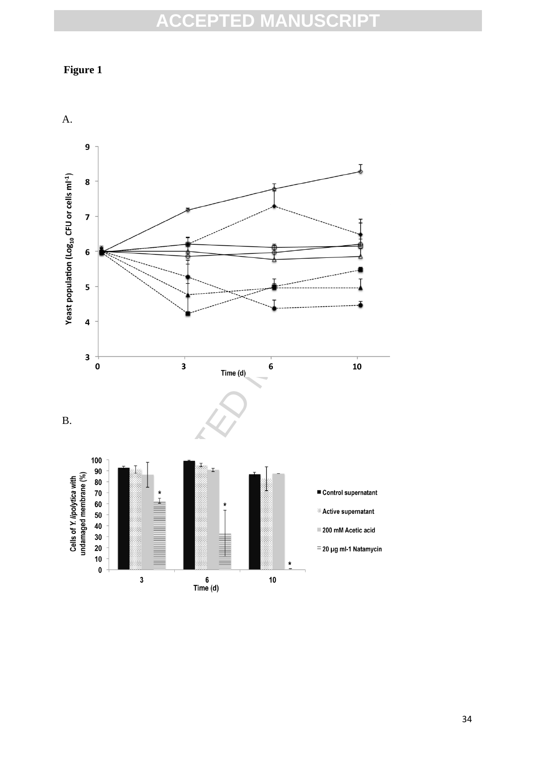## **Figure 1**

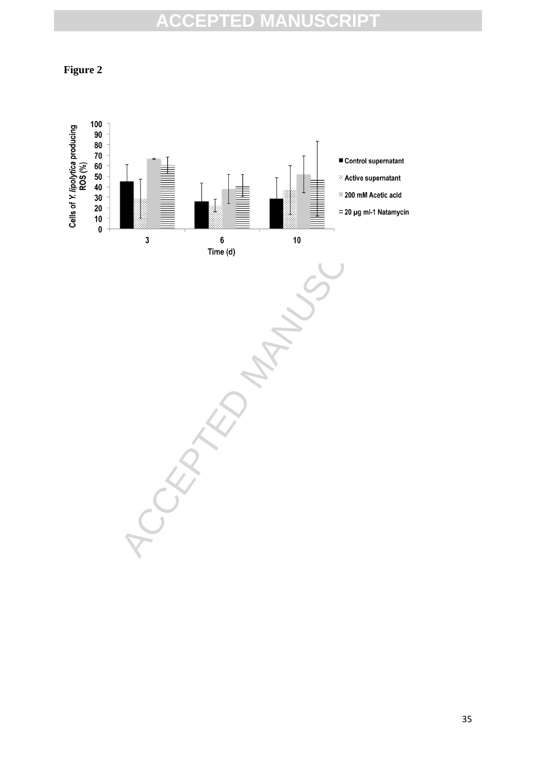**Figure 2**